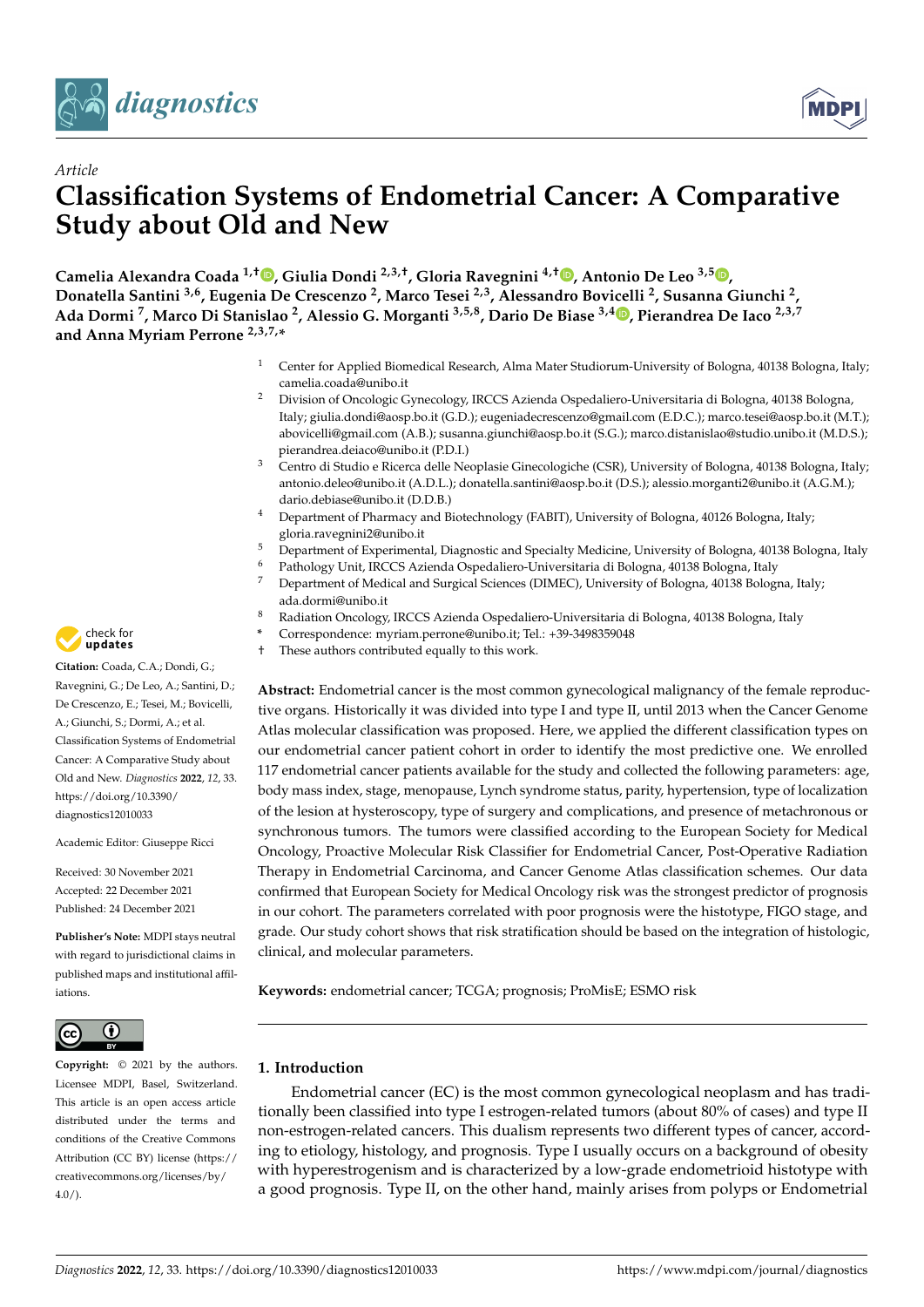



# *Article* **Classification Systems of Endometrial Cancer: A Comparative Study about Old and New**

**Camelia Alexandra Coada 1,† [,](https://orcid.org/0000-0001-8362-6639) Giulia Dondi 2,3,†, Gloria Ravegnini 4,† [,](https://orcid.org/0000-0002-7774-402X) Antonio De Leo 3,5 [,](https://orcid.org/0000-0002-3761-5135) Donatella Santini 3,6, Eugenia De Crescenzo <sup>2</sup> , Marco Tesei 2,3, Alessandro Bovicelli <sup>2</sup> , Susanna Giunchi <sup>2</sup> , Ada Dormi <sup>7</sup> , Marco Di Stanislao <sup>2</sup> , Alessio G. Morganti 3,5,8, Dario De Biase 3,4 [,](https://orcid.org/0000-0002-0609-8817) Pierandrea De Iaco 2,3,7 and Anna Myriam Perrone 2,3,7,\***

- <sup>1</sup> Center for Applied Biomedical Research, Alma Mater Studiorum-University of Bologna, 40138 Bologna, Italy; camelia.coada@unibo.it
- <sup>2</sup> Division of Oncologic Gynecology, IRCCS Azienda Ospedaliero-Universitaria di Bologna, 40138 Bologna, Italy; giulia.dondi@aosp.bo.it (G.D.); eugeniadecrescenzo@gmail.com (E.D.C.); marco.tesei@aosp.bo.it (M.T.); abovicelli@gmail.com (A.B.); susanna.giunchi@aosp.bo.it (S.G.); marco.distanislao@studio.unibo.it (M.D.S.); pierandrea.deiaco@unibo.it (P.D.I.)
- <sup>3</sup> Centro di Studio e Ricerca delle Neoplasie Ginecologiche (CSR), University of Bologna, 40138 Bologna, Italy; antonio.deleo@unibo.it (A.D.L.); donatella.santini@aosp.bo.it (D.S.); alessio.morganti2@unibo.it (A.G.M.); dario.debiase@unibo.it (D.D.B.)
- <sup>4</sup> Department of Pharmacy and Biotechnology (FABIT), University of Bologna, 40126 Bologna, Italy; gloria.ravegnini2@unibo.it
- <sup>5</sup> Department of Experimental, Diagnostic and Specialty Medicine, University of Bologna, 40138 Bologna, Italy
- <sup>6</sup> Pathology Unit, IRCCS Azienda Ospedaliero-Universitaria di Bologna, 40138 Bologna, Italy
- <sup>7</sup> Department of Medical and Surgical Sciences (DIMEC), University of Bologna, 40138 Bologna, Italy; ada.dormi@unibo.it
- <sup>8</sup> Radiation Oncology, IRCCS Azienda Ospedaliero-Universitaria di Bologna, 40138 Bologna, Italy
- **\*** Correspondence: myriam.perrone@unibo.it; Tel.: +39-3498359048
- † These authors contributed equally to this work.

**Abstract:** Endometrial cancer is the most common gynecological malignancy of the female reproductive organs. Historically it was divided into type I and type II, until 2013 when the Cancer Genome Atlas molecular classification was proposed. Here, we applied the different classification types on our endometrial cancer patient cohort in order to identify the most predictive one. We enrolled 117 endometrial cancer patients available for the study and collected the following parameters: age, body mass index, stage, menopause, Lynch syndrome status, parity, hypertension, type of localization of the lesion at hysteroscopy, type of surgery and complications, and presence of metachronous or synchronous tumors. The tumors were classified according to the European Society for Medical Oncology, Proactive Molecular Risk Classifier for Endometrial Cancer, Post-Operative Radiation Therapy in Endometrial Carcinoma, and Cancer Genome Atlas classification schemes. Our data confirmed that European Society for Medical Oncology risk was the strongest predictor of prognosis in our cohort. The parameters correlated with poor prognosis were the histotype, FIGO stage, and grade. Our study cohort shows that risk stratification should be based on the integration of histologic, clinical, and molecular parameters.

**Keywords:** endometrial cancer; TCGA; prognosis; ProMisE; ESMO risk

# **1. Introduction**

Endometrial cancer (EC) is the most common gynecological neoplasm and has traditionally been classified into type I estrogen-related tumors (about 80% of cases) and type II non-estrogen-related cancers. This dualism represents two different types of cancer, according to etiology, histology, and prognosis. Type I usually occurs on a background of obesity with hyperestrogenism and is characterized by a low-grade endometrioid histotype with a good prognosis. Type II, on the other hand, mainly arises from polyps or Endometrial



**Citation:** Coada, C.A.; Dondi, G.; Ravegnini, G.; De Leo, A.; Santini, D.; De Crescenzo, E.; Tesei, M.; Bovicelli, A.; Giunchi, S.; Dormi, A.; et al. Classification Systems of Endometrial Cancer: A Comparative Study about Old and New. *Diagnostics* **2022**, *12*, 33. [https://doi.org/10.3390/](https://doi.org/10.3390/diagnostics12010033) [diagnostics12010033](https://doi.org/10.3390/diagnostics12010033)

Academic Editor: Giuseppe Ricci

Received: 30 November 2021 Accepted: 22 December 2021 Published: 24 December 2021

**Publisher's Note:** MDPI stays neutral with regard to jurisdictional claims in published maps and institutional affiliations.



**Copyright:** © 2021 by the authors. Licensee MDPI, Basel, Switzerland. This article is an open access article distributed under the terms and conditions of the Creative Commons Attribution (CC BY) license [\(https://](https://creativecommons.org/licenses/by/4.0/) [creativecommons.org/licenses/by/](https://creativecommons.org/licenses/by/4.0/)  $4.0/$ ).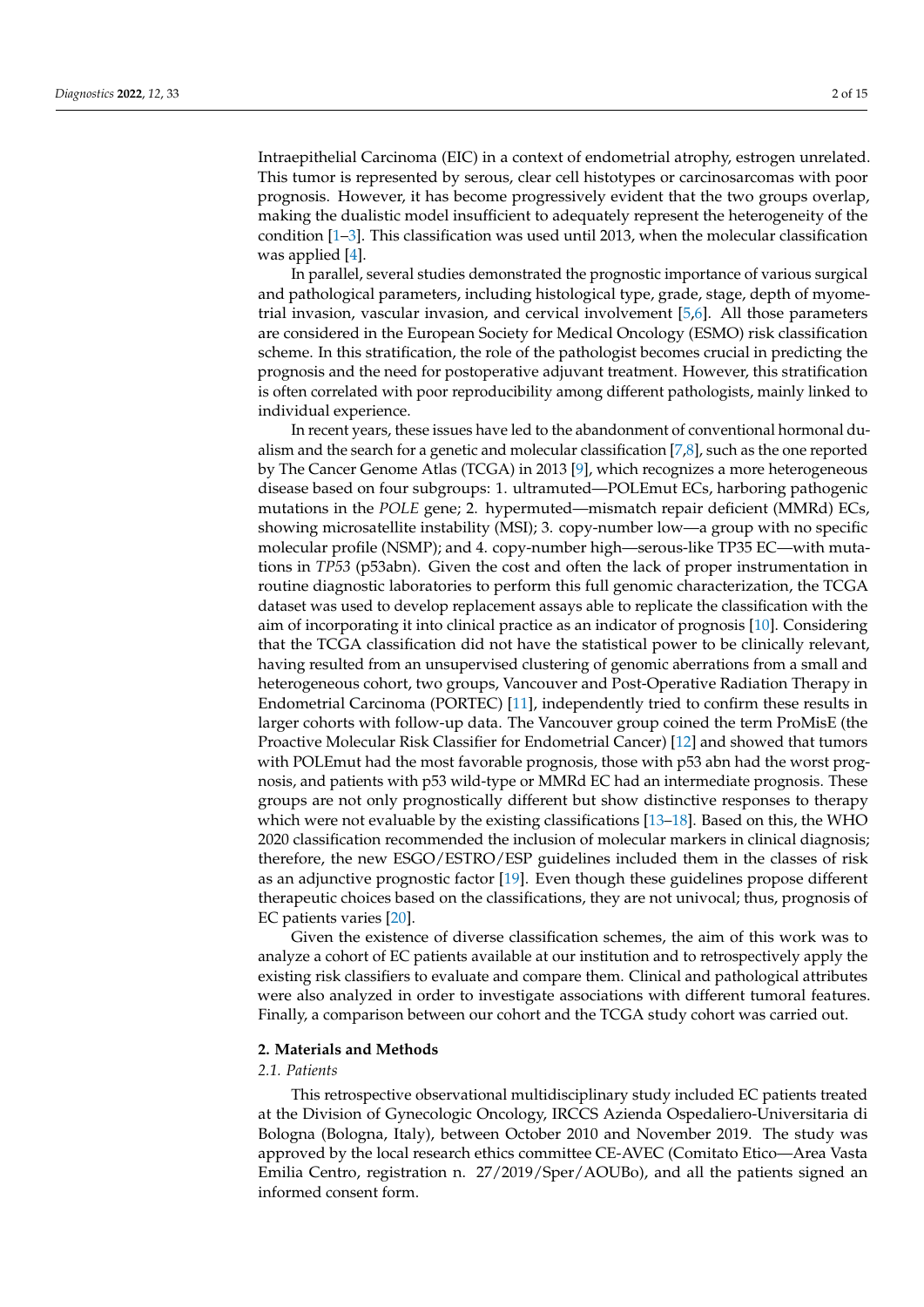Intraepithelial Carcinoma (EIC) in a context of endometrial atrophy, estrogen unrelated. This tumor is represented by serous, clear cell histotypes or carcinosarcomas with poor prognosis. However, it has become progressively evident that the two groups overlap, making the dualistic model insufficient to adequately represent the heterogeneity of the condition  $[1-3]$  $[1-3]$ . This classification was used until 2013, when the molecular classification was applied [\[4\]](#page-13-2).

In parallel, several studies demonstrated the prognostic importance of various surgical and pathological parameters, including histological type, grade, stage, depth of myometrial invasion, vascular invasion, and cervical involvement [\[5,](#page-13-3)[6\]](#page-13-4). All those parameters are considered in the European Society for Medical Oncology (ESMO) risk classification scheme. In this stratification, the role of the pathologist becomes crucial in predicting the prognosis and the need for postoperative adjuvant treatment. However, this stratification is often correlated with poor reproducibility among different pathologists, mainly linked to individual experience.

In recent years, these issues have led to the abandonment of conventional hormonal dualism and the search for a genetic and molecular classification [\[7](#page-13-5)[,8\]](#page-13-6), such as the one reported by The Cancer Genome Atlas (TCGA) in 2013 [\[9\]](#page-13-7), which recognizes a more heterogeneous disease based on four subgroups: 1. ultramuted—POLEmut ECs, harboring pathogenic mutations in the *POLE* gene; 2. hypermuted—mismatch repair deficient (MMRd) ECs, showing microsatellite instability (MSI); 3. copy-number low—a group with no specific molecular profile (NSMP); and 4. copy-number high—serous-like TP35 EC—with mutations in *TP53* (p53abn). Given the cost and often the lack of proper instrumentation in routine diagnostic laboratories to perform this full genomic characterization, the TCGA dataset was used to develop replacement assays able to replicate the classification with the aim of incorporating it into clinical practice as an indicator of prognosis [\[10\]](#page-13-8). Considering that the TCGA classification did not have the statistical power to be clinically relevant, having resulted from an unsupervised clustering of genomic aberrations from a small and heterogeneous cohort, two groups, Vancouver and Post-Operative Radiation Therapy in Endometrial Carcinoma (PORTEC) [\[11\]](#page-13-9), independently tried to confirm these results in larger cohorts with follow-up data. The Vancouver group coined the term ProMisE (the Proactive Molecular Risk Classifier for Endometrial Cancer) [\[12\]](#page-13-10) and showed that tumors with POLEmut had the most favorable prognosis, those with p53 abn had the worst prognosis, and patients with p53 wild-type or MMRd EC had an intermediate prognosis. These groups are not only prognostically different but show distinctive responses to therapy which were not evaluable by the existing classifications [\[13](#page-13-11)[–18\]](#page-13-12). Based on this, the WHO 2020 classification recommended the inclusion of molecular markers in clinical diagnosis; therefore, the new ESGO/ESTRO/ESP guidelines included them in the classes of risk as an adjunctive prognostic factor [\[19\]](#page-13-13). Even though these guidelines propose different therapeutic choices based on the classifications, they are not univocal; thus, prognosis of EC patients varies [\[20\]](#page-13-14).

Given the existence of diverse classification schemes, the aim of this work was to analyze a cohort of EC patients available at our institution and to retrospectively apply the existing risk classifiers to evaluate and compare them. Clinical and pathological attributes were also analyzed in order to investigate associations with different tumoral features. Finally, a comparison between our cohort and the TCGA study cohort was carried out.

### **2. Materials and Methods**

#### *2.1. Patients*

This retrospective observational multidisciplinary study included EC patients treated at the Division of Gynecologic Oncology, IRCCS Azienda Ospedaliero-Universitaria di Bologna (Bologna, Italy), between October 2010 and November 2019. The study was approved by the local research ethics committee CE-AVEC (Comitato Etico—Area Vasta Emilia Centro, registration n. 27/2019/Sper/AOUBo), and all the patients signed an informed consent form.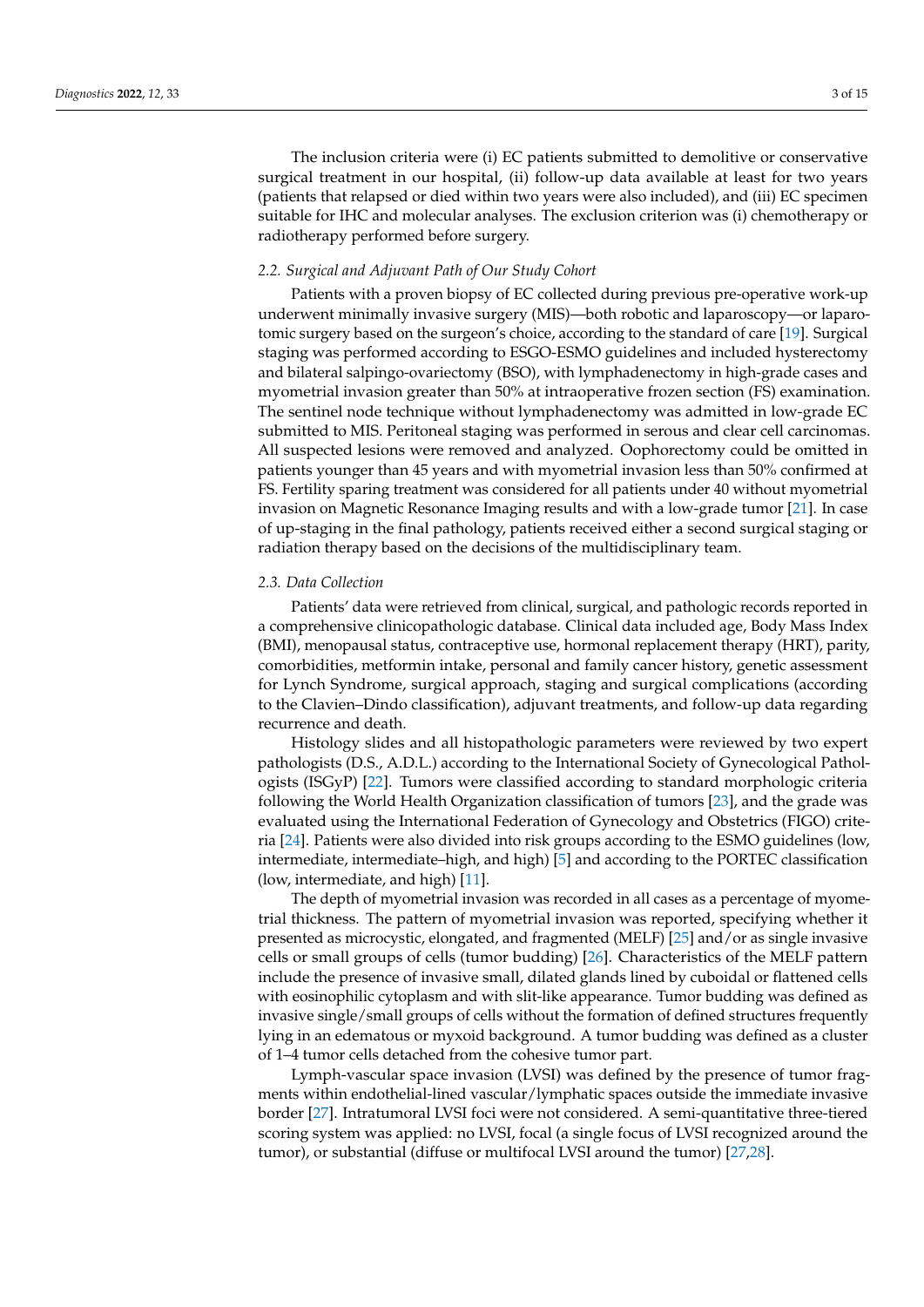The inclusion criteria were (i) EC patients submitted to demolitive or conservative surgical treatment in our hospital, (ii) follow-up data available at least for two years (patients that relapsed or died within two years were also included), and (iii) EC specimen suitable for IHC and molecular analyses. The exclusion criterion was (i) chemotherapy or radiotherapy performed before surgery.

#### *2.2. Surgical and Adjuvant Path of Our Study Cohort*

Patients with a proven biopsy of EC collected during previous pre-operative work-up underwent minimally invasive surgery (MIS)—both robotic and laparoscopy—or laparotomic surgery based on the surgeon's choice, according to the standard of care [\[19\]](#page-13-13). Surgical staging was performed according to ESGO-ESMO guidelines and included hysterectomy and bilateral salpingo-ovariectomy (BSO), with lymphadenectomy in high-grade cases and myometrial invasion greater than 50% at intraoperative frozen section (FS) examination. The sentinel node technique without lymphadenectomy was admitted in low-grade EC submitted to MIS. Peritoneal staging was performed in serous and clear cell carcinomas. All suspected lesions were removed and analyzed. Oophorectomy could be omitted in patients younger than 45 years and with myometrial invasion less than 50% confirmed at FS. Fertility sparing treatment was considered for all patients under 40 without myometrial invasion on Magnetic Resonance Imaging results and with a low-grade tumor [\[21\]](#page-13-15). In case of up-staging in the final pathology, patients received either a second surgical staging or radiation therapy based on the decisions of the multidisciplinary team.

#### *2.3. Data Collection*

Patients' data were retrieved from clinical, surgical, and pathologic records reported in a comprehensive clinicopathologic database. Clinical data included age, Body Mass Index (BMI), menopausal status, contraceptive use, hormonal replacement therapy (HRT), parity, comorbidities, metformin intake, personal and family cancer history, genetic assessment for Lynch Syndrome, surgical approach, staging and surgical complications (according to the Clavien–Dindo classification), adjuvant treatments, and follow-up data regarding recurrence and death.

Histology slides and all histopathologic parameters were reviewed by two expert pathologists (D.S., A.D.L.) according to the International Society of Gynecological Pathologists (ISGyP) [\[22\]](#page-13-16). Tumors were classified according to standard morphologic criteria following the World Health Organization classification of tumors [\[23\]](#page-14-0), and the grade was evaluated using the International Federation of Gynecology and Obstetrics (FIGO) criteria [\[24\]](#page-14-1). Patients were also divided into risk groups according to the ESMO guidelines (low, intermediate, intermediate–high, and high) [\[5\]](#page-13-3) and according to the PORTEC classification (low, intermediate, and high) [\[11\]](#page-13-9).

The depth of myometrial invasion was recorded in all cases as a percentage of myometrial thickness. The pattern of myometrial invasion was reported, specifying whether it presented as microcystic, elongated, and fragmented (MELF) [\[25\]](#page-14-2) and/or as single invasive cells or small groups of cells (tumor budding) [\[26\]](#page-14-3). Characteristics of the MELF pattern include the presence of invasive small, dilated glands lined by cuboidal or flattened cells with eosinophilic cytoplasm and with slit-like appearance. Tumor budding was defined as invasive single/small groups of cells without the formation of defined structures frequently lying in an edematous or myxoid background. A tumor budding was defined as a cluster of 1–4 tumor cells detached from the cohesive tumor part.

Lymph-vascular space invasion (LVSI) was defined by the presence of tumor fragments within endothelial-lined vascular/lymphatic spaces outside the immediate invasive border [\[27\]](#page-14-4). Intratumoral LVSI foci were not considered. A semi-quantitative three-tiered scoring system was applied: no LVSI, focal (a single focus of LVSI recognized around the tumor), or substantial (diffuse or multifocal LVSI around the tumor) [\[27](#page-14-4)[,28\]](#page-14-5).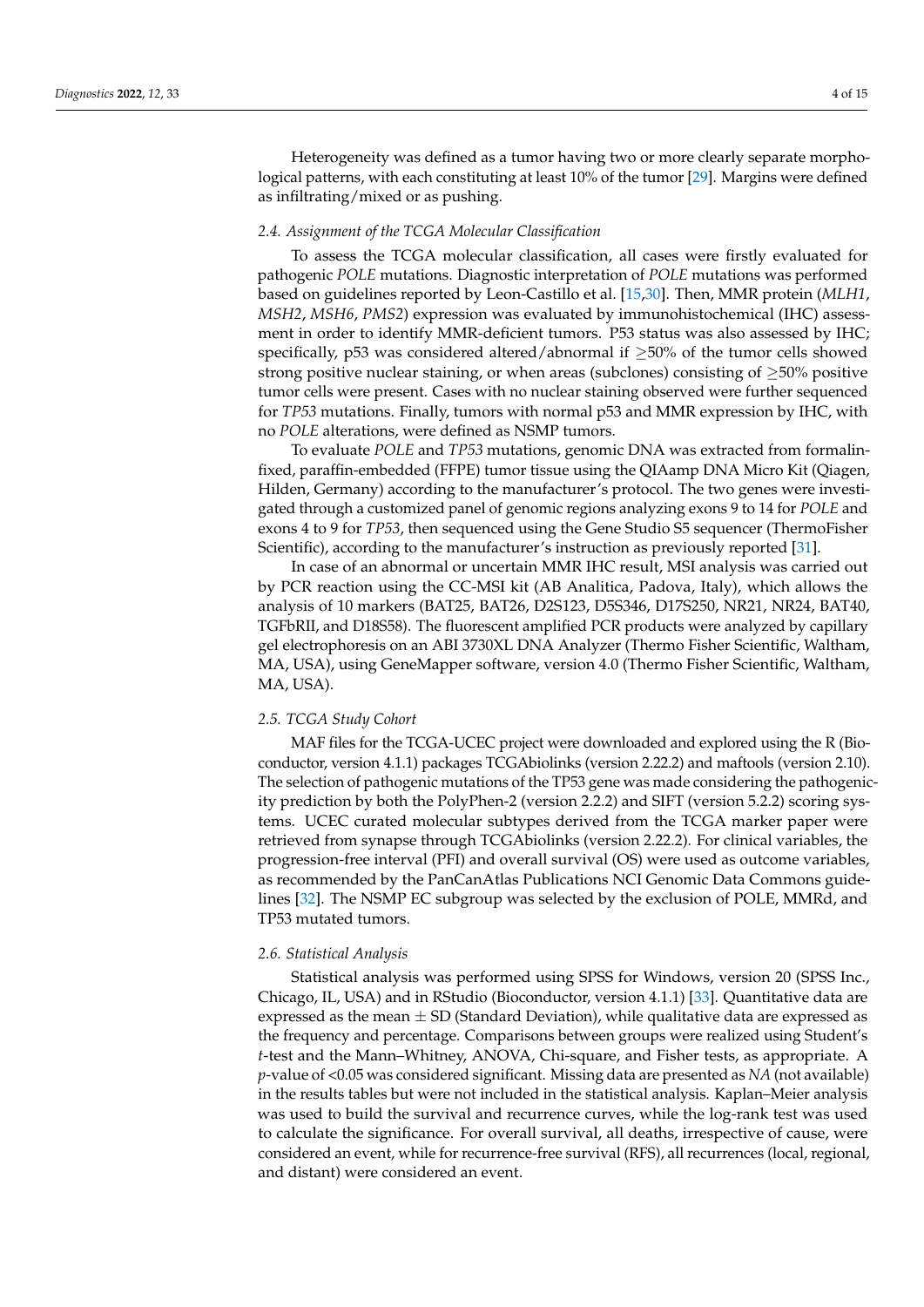Heterogeneity was defined as a tumor having two or more clearly separate morphological patterns, with each constituting at least 10% of the tumor [\[29\]](#page-14-6). Margins were defined as infiltrating/mixed or as pushing.

### *2.4. Assignment of the TCGA Molecular Classification*

To assess the TCGA molecular classification, all cases were firstly evaluated for pathogenic *POLE* mutations. Diagnostic interpretation of *POLE* mutations was performed based on guidelines reported by Leon-Castillo et al. [\[15](#page-13-17)[,30\]](#page-14-7). Then, MMR protein (*MLH1*, *MSH2*, *MSH6*, *PMS2*) expression was evaluated by immunohistochemical (IHC) assessment in order to identify MMR-deficient tumors. P53 status was also assessed by IHC; specifically, p53 was considered altered/abnormal if  $\geq$ 50% of the tumor cells showed strong positive nuclear staining, or when areas (subclones) consisting of ≥50% positive tumor cells were present. Cases with no nuclear staining observed were further sequenced for *TP53* mutations. Finally, tumors with normal p53 and MMR expression by IHC, with no *POLE* alterations, were defined as NSMP tumors.

To evaluate *POLE* and *TP53* mutations, genomic DNA was extracted from formalinfixed, paraffin-embedded (FFPE) tumor tissue using the QIAamp DNA Micro Kit (Qiagen, Hilden, Germany) according to the manufacturer's protocol. The two genes were investigated through a customized panel of genomic regions analyzing exons 9 to 14 for *POLE* and exons 4 to 9 for *TP53*, then sequenced using the Gene Studio S5 sequencer (ThermoFisher Scientific), according to the manufacturer's instruction as previously reported [\[31\]](#page-14-8).

In case of an abnormal or uncertain MMR IHC result, MSI analysis was carried out by PCR reaction using the CC-MSI kit (AB Analitica, Padova, Italy), which allows the analysis of 10 markers (BAT25, BAT26, D2S123, D5S346, D17S250, NR21, NR24, BAT40, TGFbRII, and D18S58). The fluorescent amplified PCR products were analyzed by capillary gel electrophoresis on an ABI 3730XL DNA Analyzer (Thermo Fisher Scientific, Waltham, MA, USA), using GeneMapper software, version 4.0 (Thermo Fisher Scientific, Waltham, MA, USA).

### *2.5. TCGA Study Cohort*

MAF files for the TCGA-UCEC project were downloaded and explored using the R (Bioconductor, version 4.1.1) packages TCGAbiolinks (version 2.22.2) and maftools (version 2.10). The selection of pathogenic mutations of the TP53 gene was made considering the pathogenicity prediction by both the PolyPhen-2 (version 2.2.2) and SIFT (version 5.2.2) scoring systems. UCEC curated molecular subtypes derived from the TCGA marker paper were retrieved from synapse through TCGAbiolinks (version 2.22.2). For clinical variables, the progression-free interval (PFI) and overall survival (OS) were used as outcome variables, as recommended by the PanCanAtlas Publications NCI Genomic Data Commons guidelines [\[32\]](#page-14-9). The NSMP EC subgroup was selected by the exclusion of POLE, MMRd, and TP53 mutated tumors.

#### *2.6. Statistical Analysis*

Statistical analysis was performed using SPSS for Windows, version 20 (SPSS Inc., Chicago, IL, USA) and in RStudio (Bioconductor, version 4.1.1) [\[33\]](#page-14-10). Quantitative data are expressed as the mean  $\pm$  SD (Standard Deviation), while qualitative data are expressed as the frequency and percentage. Comparisons between groups were realized using Student's *t*-test and the Mann–Whitney, ANOVA, Chi-square, and Fisher tests, as appropriate. A *p*-value of <0.05 was considered significant. Missing data are presented as *NA* (not available) in the results tables but were not included in the statistical analysis. Kaplan–Meier analysis was used to build the survival and recurrence curves, while the log-rank test was used to calculate the significance. For overall survival, all deaths, irrespective of cause, were considered an event, while for recurrence-free survival (RFS), all recurrences (local, regional, and distant) were considered an event.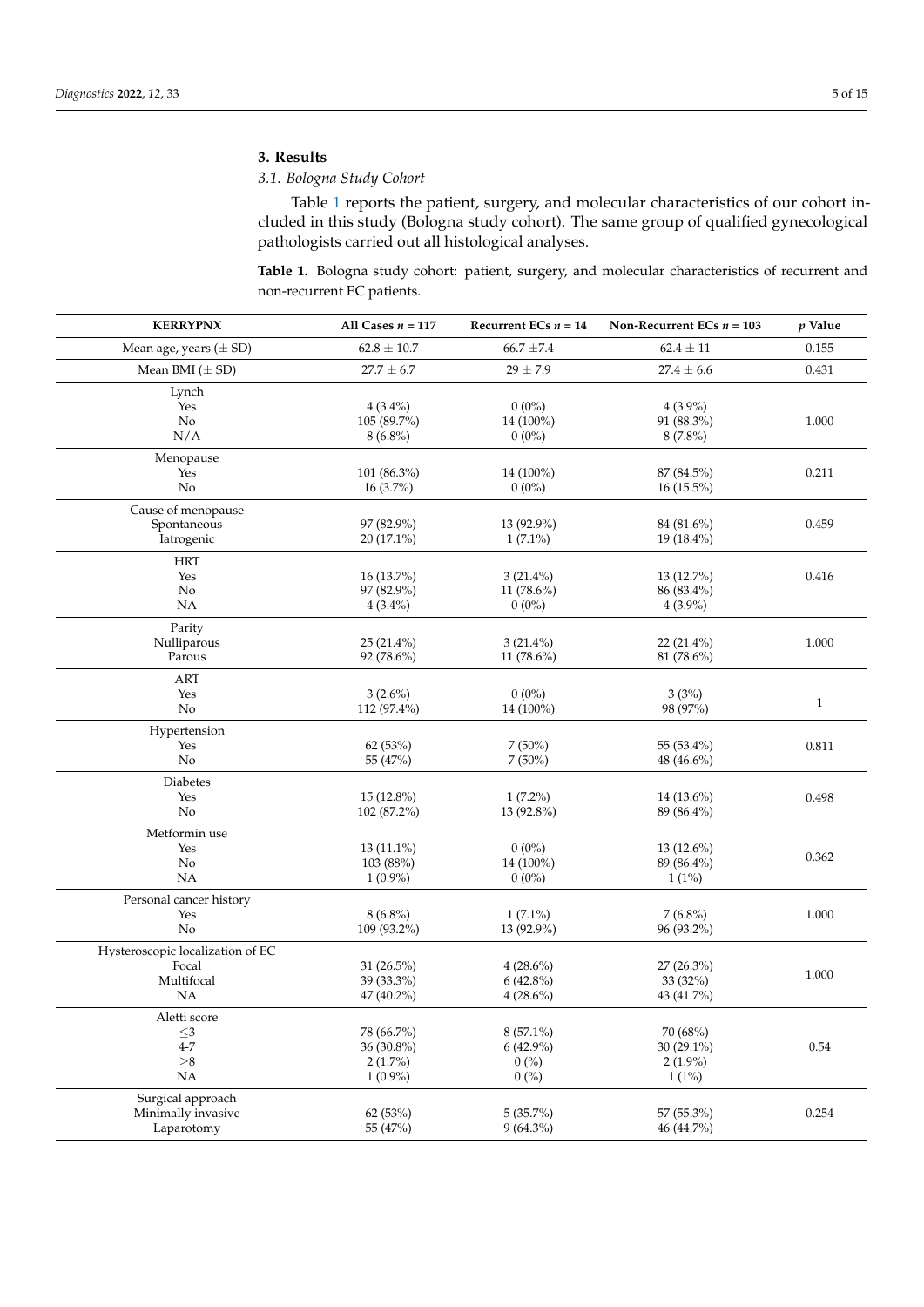# **3. Results**

## *3.1. Bologna Study Cohort*

Table [1](#page-4-0) reports the patient, surgery, and molecular characteristics of our cohort included in this study (Bologna study cohort). The same group of qualified gynecological pathologists carried out all histological analyses.

<span id="page-4-0"></span>**Table 1.** Bologna study cohort: patient, surgery, and molecular characteristics of recurrent and non-recurrent EC patients.

| <b>KERRYPNX</b>                  | All Cases $n = 117$ | Recurrent ECs $n = 14$ | Non-Recurrent ECs $n = 103$ | $p$ Value    |
|----------------------------------|---------------------|------------------------|-----------------------------|--------------|
| Mean age, years $(\pm SD)$       | $62.8\pm10.7$       | $66.7 \pm 7.4$         | $62.4 \pm 11$               | 0.155        |
| Mean BMI $(\pm SD)$              | $27.7 \pm 6.7$      | $29 \pm 7.9$           | $27.4 \pm 6.6$              | 0.431        |
| Lynch                            |                     |                        |                             |              |
| Yes                              | $4(3.4\%)$          | $0(0\%)$               | $4(3.9\%)$                  |              |
| N <sub>o</sub>                   | 105 (89.7%)         | 14 (100%)              | 91 (88.3%)                  | 1.000        |
| N/A                              | $8(6.8\%)$          | $0(0\%)$               | $8(7.8\%)$                  |              |
| Menopause                        |                     |                        |                             |              |
| Yes                              | 101 (86.3%)         | 14 (100%)              | 87 (84.5%)                  | 0.211        |
| No                               | $16(3.7\%)$         | $0(0\%)$               | 16 (15.5%)                  |              |
| Cause of menopause               |                     |                        |                             |              |
| Spontaneous                      | 97 (82.9%)          | 13 (92.9%)             | 84 (81.6%)                  | 0.459        |
| Iatrogenic                       | 20 (17.1%)          | $1(7.1\%)$             | 19 (18.4%)                  |              |
| <b>HRT</b>                       |                     |                        |                             |              |
| Yes                              | 16 (13.7%)          | $3(21.4\%)$            | 13 (12.7%)                  | 0.416        |
| No                               | 97 (82.9%)          | 11 $(78.6\%)$          | 86 (83.4%)                  |              |
| <b>NA</b>                        | $4(3.4\%)$          | $0(0\%)$               | $4(3.9\%)$                  |              |
| Parity                           |                     |                        |                             |              |
| Nulliparous                      | $25(21.4\%)$        | $3(21.4\%)$            | $22(21.4\%)$                | 1.000        |
| Parous                           | 92 (78.6%)          | 11 (78.6%)             | 81 (78.6%)                  |              |
| $\operatorname{ART}$             |                     |                        |                             |              |
| Yes                              | $3(2.6\%)$          | $0(0\%)$               | 3(3%)                       | $\mathbf{1}$ |
| No                               | 112 (97.4%)         | 14 (100%)              | 98 (97%)                    |              |
| Hypertension                     |                     |                        |                             |              |
| Yes                              | 62 (53%)            | $7(50\%)$              | 55 (53.4%)                  | 0.811        |
| No                               | 55 (47%)            | $7(50\%)$              | 48 (46.6%)                  |              |
| Diabetes                         |                     |                        |                             |              |
| Yes                              | 15 (12.8%)          | $1(7.2\%)$             | 14 (13.6%)                  | 0.498        |
| No                               | 102 (87.2%)         | 13 (92.8%)             | 89 (86.4%)                  |              |
| Metformin use                    |                     |                        |                             |              |
| Yes                              | 13 (11.1%)          | $0(0\%)$               | 13 (12.6%)                  | 0.362        |
| No                               | 103 (88%)           | 14 (100%)              | 89 (86.4%)                  |              |
| NA                               | $1(0.9\%)$          | $0(0\%)$               | $1(1\%)$                    |              |
| Personal cancer history          |                     |                        |                             |              |
| Yes                              | $8(6.8\%)$          | $1(7.1\%)$             | $7(6.8\%)$                  | 1.000        |
| No                               | 109 (93.2%)         | 13 (92.9%)             | 96 (93.2%)                  |              |
| Hysteroscopic localization of EC |                     |                        |                             |              |
| Focal                            | 31 (26.5%)          | $4(28.6\%)$            | $27(26.3\%)$                | 1.000        |
| Multifocal                       | 39 (33.3%)          | $6(42.8\%)$            | 33 (32%)                    |              |
| NA                               | 47 (40.2%)          | $4(28.6\%)$            | 43 (41.7%)                  |              |
| Aletti score                     |                     |                        |                             |              |
| $\leq$ 3                         | 78 (66.7%)          | $8(57.1\%)$            | 70 (68%)                    |              |
| $4 - 7$                          | 36 (30.8%)          | $6(42.9\%)$            | 30 (29.1%)                  | 0.54         |
| ${\geq}8$                        | $2(1.7\%)$          | 0(%)                   | $2(1.9\%)$                  |              |
| $_{\rm NA}$                      | $1(0.9\%)$          | 0(%)                   | $1(1\%)$                    |              |
| Surgical approach                |                     |                        |                             |              |
| Minimally invasive               | 62 (53%)            | $5(35.7\%)$            | 57 (55.3%)                  | 0.254        |
| Laparotomy                       | 55 (47%)            | $9(64.3\%)$            | 46 (44.7%)                  |              |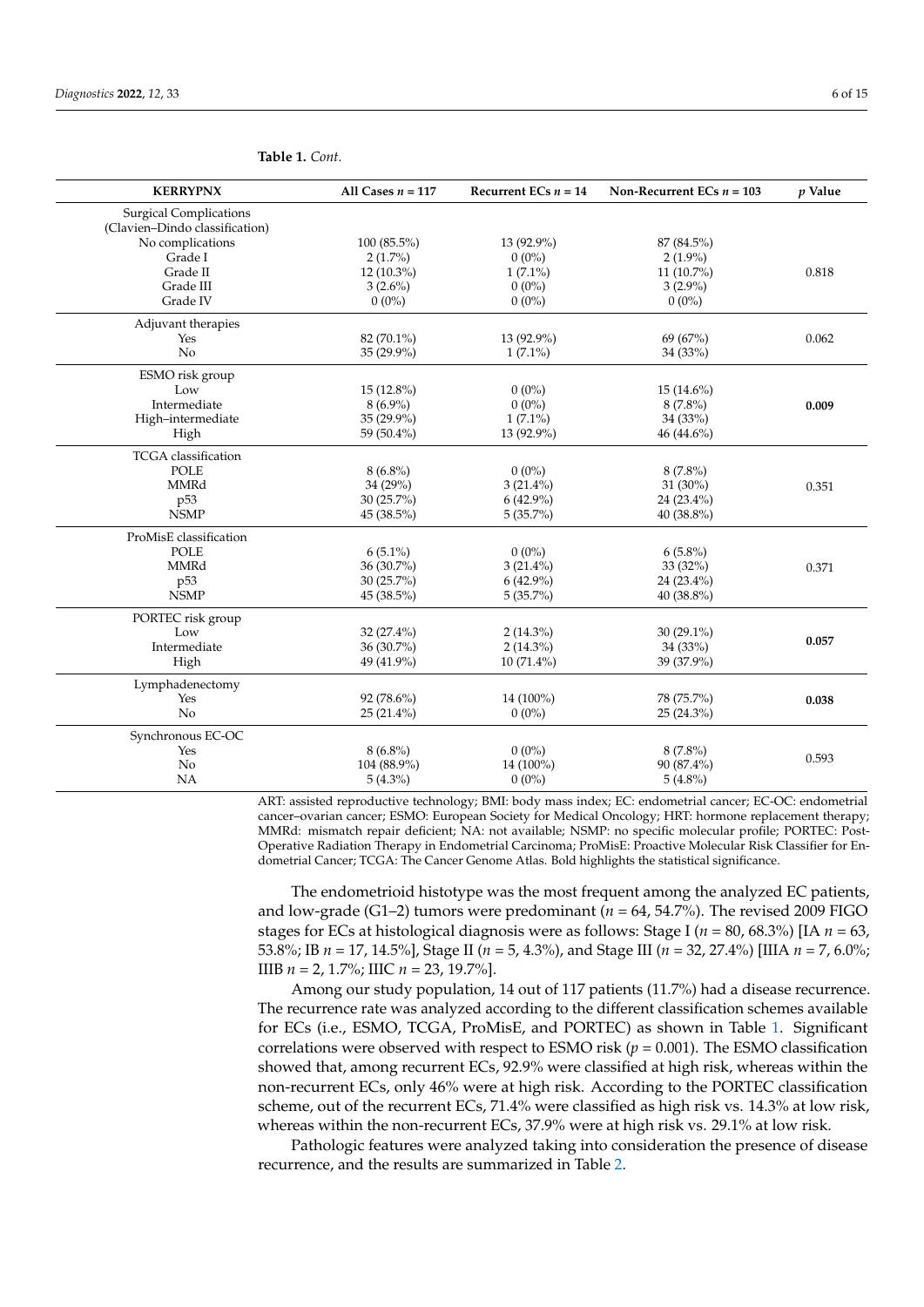| <b>KERRYPNX</b>                | All Cases $n = 117$ | Recurrent ECs $n = 14$ | Non-Recurrent ECs $n = 103$ | $p$ Value |
|--------------------------------|---------------------|------------------------|-----------------------------|-----------|
| <b>Surgical Complications</b>  |                     |                        |                             |           |
| (Clavien-Dindo classification) |                     |                        |                             |           |
| No complications               | $100(85.5\%)$       | 13 (92.9%)             | 87 (84.5%)                  |           |
| Grade I                        | $2(1.7\%)$          | $0(0\%)$               | $2(1.9\%)$                  |           |
| Grade II                       | $12(10.3\%)$        | $1(7.1\%)$             | $11(10.7\%)$                | 0.818     |
| Grade III                      | $3(2.6\%)$          | $0(0\%)$               | $3(2.9\%)$                  |           |
| Grade IV                       | $0(0\%)$            | $0(0\%)$               | $0(0\%)$                    |           |
| Adjuvant therapies             |                     |                        |                             |           |
| Yes                            | 82 (70.1%)          | 13 (92.9%)             | 69 (67%)                    | 0.062     |
| No                             | 35 (29.9%)          | $1(7.1\%)$             | 34 (33%)                    |           |
| ESMO risk group                |                     |                        |                             |           |
| Low                            | $15(12.8\%)$        | $0(0\%)$               | $15(14.6\%)$                |           |
| Intermediate                   | $8(6.9\%)$          | $0(0\%)$               | $8(7.8\%)$                  | 0.009     |
| High-intermediate              | 35 (29.9%)          | $1(7.1\%)$             | 34 (33%)                    |           |
| High                           | 59 (50.4%)          | 13 (92.9%)             | 46 (44.6%)                  |           |
| <b>TCGA</b> classification     |                     |                        |                             |           |
| <b>POLE</b>                    | $8(6.8\%)$          | $0(0\%)$               | $8(7.8\%)$                  |           |
| MMRd                           | 34 (29%)            | $3(21.4\%)$            | 31 (30%)                    | 0.351     |
| p <sub>53</sub>                | $30(25.7\%)$        | $6(42.9\%)$            | 24 (23.4%)                  |           |
| <b>NSMP</b>                    | 45 (38.5%)          | $5(35.7\%)$            | 40 (38.8%)                  |           |
| ProMisE classification         |                     |                        |                             |           |
| POLE                           | $6(5.1\%)$          | $0(0\%)$               | $6(5.8\%)$                  |           |
| <b>MMRd</b>                    | 36 (30.7%)          | $3(21.4\%)$            | 33 (32%)                    | 0.371     |
| p <sub>53</sub>                | $30(25.7\%)$        | $6(42.9\%)$            | 24 (23.4%)                  |           |
| <b>NSMP</b>                    | 45 (38.5%)          | $5(35.7\%)$            | 40 (38.8%)                  |           |
| PORTEC risk group              |                     |                        |                             |           |
| Low                            | $32(27.4\%)$        | $2(14.3\%)$            | $30(29.1\%)$                |           |
| Intermediate                   | 36 (30.7%)          | $2(14.3\%)$            | 34 (33%)                    | 0.057     |
| High                           | 49 (41.9%)          | $10(71.4\%)$           | 39 (37.9%)                  |           |
| Lymphadenectomy                |                     |                        |                             |           |
| Yes                            | 92 (78.6%)          | 14 (100%)              | 78 (75.7%)                  | 0.038     |
| No                             | $25(21.4\%)$        | $0(0\%)$               | 25 (24.3%)                  |           |
| Synchronous EC-OC              |                     |                        |                             |           |
| Yes                            | $8(6.8\%)$          | $0(0\%)$               | $8(7.8\%)$                  |           |
| No                             | 104 (88.9%)         | 14 (100%)              | 90 (87.4%)                  | 0.593     |
| <b>NA</b>                      | $5(4.3\%)$          | $0(0\%)$               | $5(4.8\%)$                  |           |

#### **Table 1.** *Cont.*

ART: assisted reproductive technology; BMI: body mass index; EC: endometrial cancer; EC-OC: endometrial cancer–ovarian cancer; ESMO: European Society for Medical Oncology; HRT: hormone replacement therapy; MMRd: mismatch repair deficient; NA: not available; NSMP: no specific molecular profile; PORTEC: Post-Operative Radiation Therapy in Endometrial Carcinoma; ProMisE: Proactive Molecular Risk Classifier for Endometrial Cancer; TCGA: The Cancer Genome Atlas. Bold highlights the statistical significance.

The endometrioid histotype was the most frequent among the analyzed EC patients, and low-grade (G1–2) tumors were predominant ( $n = 64$ , 54.7%). The revised 2009 FIGO stages for ECs at histological diagnosis were as follows: Stage I (*n* = 80, 68.3%) [IA *n* = 63, 53.8%; IB *n* = 17, 14.5%], Stage II (*n* = 5, 4.3%), and Stage III (*n* = 32, 27.4%) [IIIA *n* = 7, 6.0%; IIIB *n* = 2, 1.7%; IIIC *n* = 23, 19.7%].

Among our study population, 14 out of 117 patients (11.7%) had a disease recurrence. The recurrence rate was analyzed according to the different classification schemes available for ECs (i.e., ESMO, TCGA, ProMisE, and PORTEC) as shown in Table [1.](#page-4-0) Significant correlations were observed with respect to ESMO risk ( $p = 0.001$ ). The ESMO classification showed that, among recurrent ECs, 92.9% were classified at high risk, whereas within the non-recurrent ECs, only 46% were at high risk. According to the PORTEC classification scheme, out of the recurrent ECs, 71.4% were classified as high risk vs. 14.3% at low risk, whereas within the non-recurrent ECs, 37.9% were at high risk vs. 29.1% at low risk.

Pathologic features were analyzed taking into consideration the presence of disease recurrence, and the results are summarized in Table [2.](#page-6-0)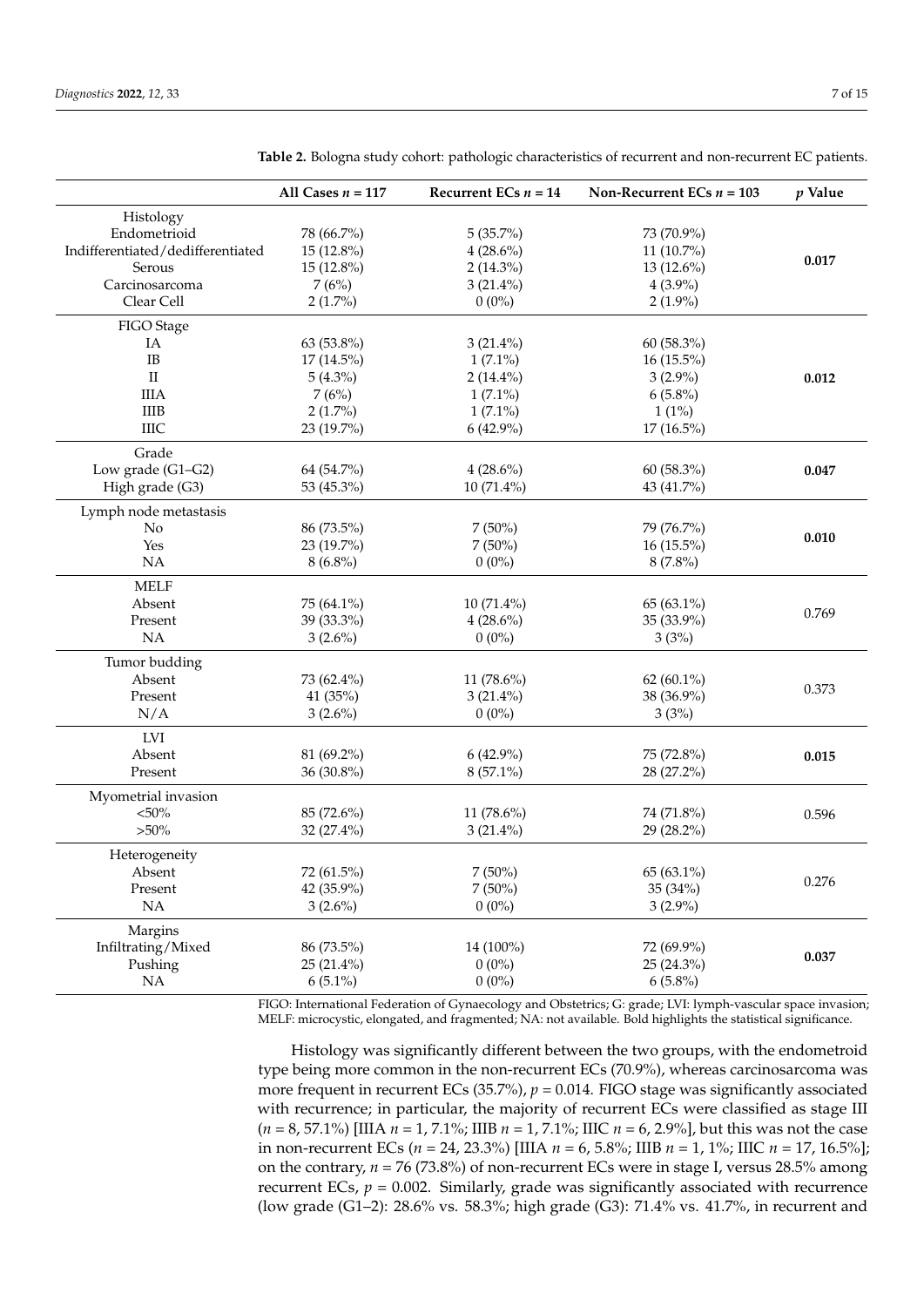|                                   | All Cases $n = 117$ | Recurrent ECs $n = 14$ | Non-Recurrent ECs $n = 103$ | $p$ Value |
|-----------------------------------|---------------------|------------------------|-----------------------------|-----------|
| Histology                         |                     |                        |                             |           |
| Endometrioid                      | 78 (66.7%)          | 5(35.7%)               | 73 (70.9%)                  |           |
| Indifferentiated/dedifferentiated | 15 (12.8%)          | $4(28.6\%)$            | 11 (10.7%)                  |           |
| Serous                            | 15 (12.8%)          | $2(14.3\%)$            | 13 (12.6%)                  | 0.017     |
| Carcinosarcoma                    | 7(6%)               | $3(21.4\%)$            | $4(3.9\%)$                  |           |
| Clear Cell                        | $2(1.7\%)$          | $0(0\%)$               | $2(1.9\%)$                  |           |
| FIGO Stage                        |                     |                        |                             |           |
| IA                                | 63 (53.8%)          | $3(21.4\%)$            | 60 (58.3%)                  |           |
| IB                                | $17(14.5\%)$        | $1(7.1\%)$             | $16(15.5\%)$                |           |
| $\rm II$                          | $5(4.3\%)$          | $2(14.4\%)$            | $3(2.9\%)$                  | 0.012     |
| <b>IIIA</b>                       | 7(6%)               | $1(7.1\%)$             | $6(5.8\%)$                  |           |
| $\rm IIIB$                        | $2(1.7\%)$          | $1(7.1\%)$             | $1(1\%)$                    |           |
| <b>IIIC</b>                       | 23 (19.7%)          | $6(42.9\%)$            | 17 (16.5%)                  |           |
| Grade                             |                     |                        |                             |           |
| Low grade (G1-G2)                 | 64 (54.7%)          | $4(28.6\%)$            | 60 (58.3%)                  | 0.047     |
| High grade (G3)                   | 53 (45.3%)          | 10 (71.4%)             | 43 (41.7%)                  |           |
| Lymph node metastasis             |                     |                        |                             |           |
| No                                | 86 (73.5%)          | $7(50\%)$              | 79 (76.7%)                  |           |
| Yes                               | 23 (19.7%)          | $7(50\%)$              | $16(15.5\%)$                | 0.010     |
| NA                                | $8(6.8\%)$          | $0(0\%)$               | $8(7.8\%)$                  |           |
| <b>MELF</b>                       |                     |                        |                             |           |
| Absent                            | 75 (64.1%)          | 10 (71.4%)             | 65 (63.1%)                  |           |
| Present                           | 39 (33.3%)          | $4(28.6\%)$            | 35 (33.9%)                  | 0.769     |
| NA                                | $3(2.6\%)$          | $0(0\%)$               | 3(3%)                       |           |
| Tumor budding                     |                     |                        |                             |           |
| Absent                            | 73 (62.4%)          | 11 (78.6%)             | 62 $(60.1\%)$               |           |
| Present                           | 41 (35%)            | $3(21.4\%)$            | 38 (36.9%)                  | 0.373     |
| N/A                               | $3(2.6\%)$          | $0(0\%)$               | 3(3%)                       |           |
| LVI                               |                     |                        |                             |           |
| Absent                            | 81 (69.2%)          | $6(42.9\%)$            | 75 (72.8%)                  | 0.015     |
| Present                           | 36 (30.8%)          | 8 (57.1%)              | 28 (27.2%)                  |           |
| Myometrial invasion               |                     |                        |                             |           |
| $<\!\!50\%$                       | 85 (72.6%)          | 11 (78.6%)             | 74 (71.8%)                  | 0.596     |
| $>50\%$                           | 32 (27.4%)          | $3(21.4\%)$            | 29 (28.2%)                  |           |
| Heterogeneity                     |                     |                        |                             |           |
| Absent                            | 72 (61.5%)          | $7(50\%)$              | 65 (63.1%)                  |           |
| Present                           | 42 (35.9%)          | $7(50\%)$              | 35 (34%)                    | 0.276     |
| NA                                | $3(2.6\%)$          | $0(0\%)$               | $3(2.9\%)$                  |           |
| Margins                           |                     |                        |                             |           |
| Infiltrating/Mixed                | 86 (73.5%)          | 14 (100%)              | 72 (69.9%)                  |           |
| Pushing                           | $25(21.4\%)$        | $0(0\%)$               | $25(24.3\%)$                | 0.037     |
| NA                                | $6(5.1\%)$          | $0(0\%)$               | $6(5.8\%)$                  |           |

<span id="page-6-0"></span>**Table 2.** Bologna study cohort: pathologic characteristics of recurrent and non-recurrent EC patients.

FIGO: International Federation of Gynaecology and Obstetrics; G: grade; LVI: lymph-vascular space invasion; MELF: microcystic, elongated, and fragmented; NA: not available. Bold highlights the statistical significance.

Histology was significantly different between the two groups, with the endometroid type being more common in the non-recurrent ECs (70.9%), whereas carcinosarcoma was more frequent in recurrent ECs (35.7%),  $p = 0.014$ . FIGO stage was significantly associated with recurrence; in particular, the majority of recurrent ECs were classified as stage III (*n* = 8, 57.1%) [IIIA *n* = 1, 7.1%; IIIB *n* = 1, 7.1%; IIIC *n* = 6, 2.9%], but this was not the case in non-recurrent ECs (*n* = 24, 23.3%) [IIIA *n* = 6, 5.8%; IIIB *n* = 1, 1%; IIIC *n* = 17, 16.5%]; on the contrary, *n* = 76 (73.8%) of non-recurrent ECs were in stage I, versus 28.5% among recurrent ECs,  $p = 0.002$ . Similarly, grade was significantly associated with recurrence (low grade (G1–2): 28.6% vs. 58.3%; high grade (G3): 71.4% vs. 41.7%, in recurrent and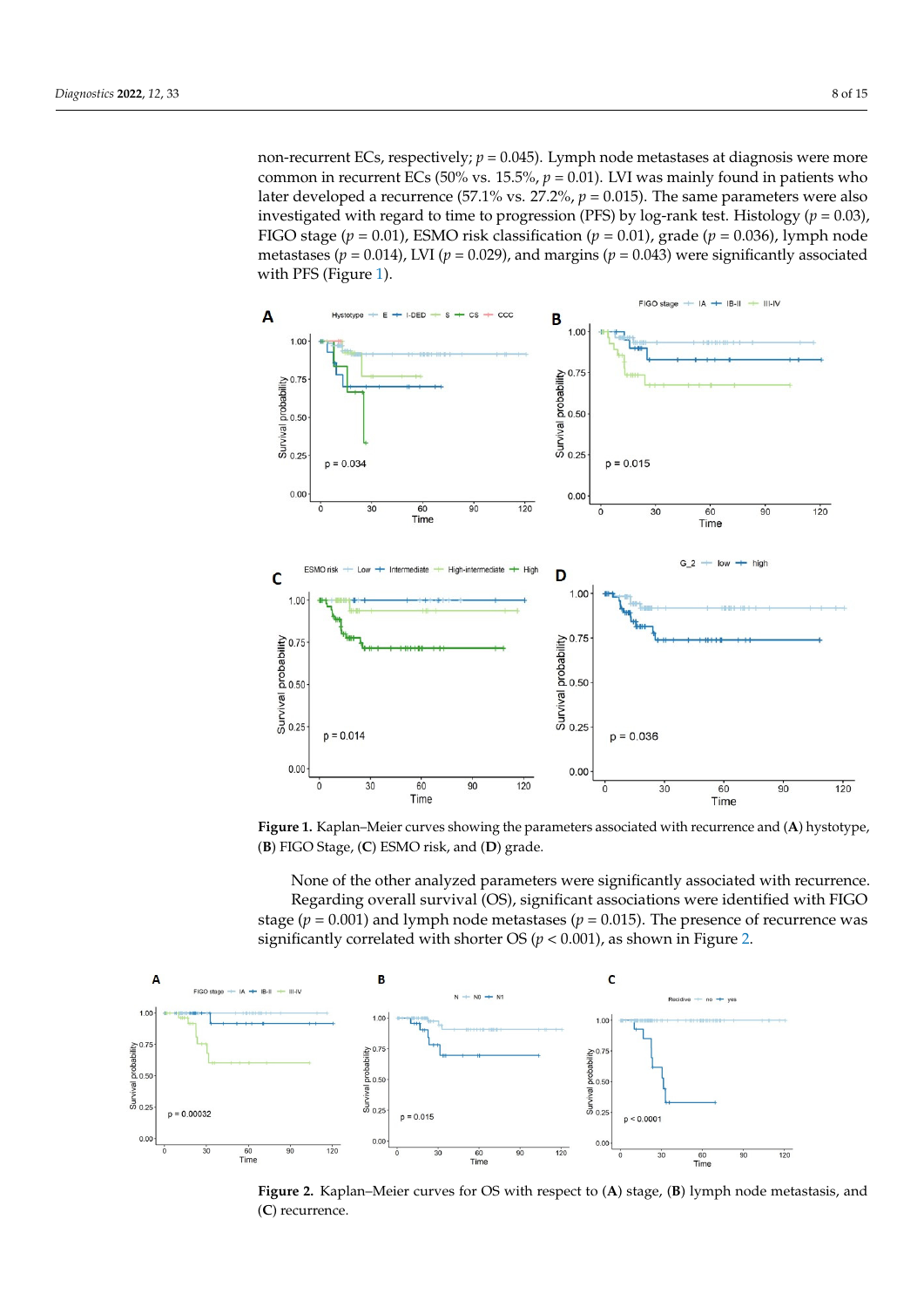non-recurrent ECs, respectively;  $p = 0.045$ ). Lymph node metastases at diagnosis were more common in recurrent ECs (50% vs. 15.5%,  $p = 0.01$ ). LVI was mainly found in patients who later developed a recurrence (57.1% vs. 27.2%,  $p = 0.015$ ). The same parameters were also investigated with regard to time to progression (PFS) by log-rank test. Histology ( $p = 0.03$ ), FIGO stage ( $p = 0.01$ ), ESMO risk classification ( $p = 0.01$ ), grade ( $p = 0.036$ ), lymph node metastases ( $p = 0.014$ ), LVI ( $p = 0.029$ ), and margins ( $p = 0.043$ ) were significantly associated with PFS (Figure [1\)](#page-7-0).

<span id="page-7-0"></span>

Figure 1. Kaplan-Meier curves showing the parameters associated with recurrence and (A) hystotype, type, (**B**) FIGO Stage, (**C**) ESMO risk, and (**D**) grade. (**B**) FIGO Stage, (**C**) ESMO risk, and (**D**) grade. type, (**B**) FIGO Stage, (**C**) ESMO risk, and (**D**) grade.

<span id="page-7-1"></span>None of the other analyzed parameters were significantly associated with recurrence. Regarding overall survival (OS), significant associations were identified with FIGO stage ( $p = 0.001$ ) and lymph node metastases ( $p = 0.015$ ). The presence of recurrence was significantly correlated with shorter OS ( $p < 0.001$ ), as shown in Figure [2.](#page-7-1)



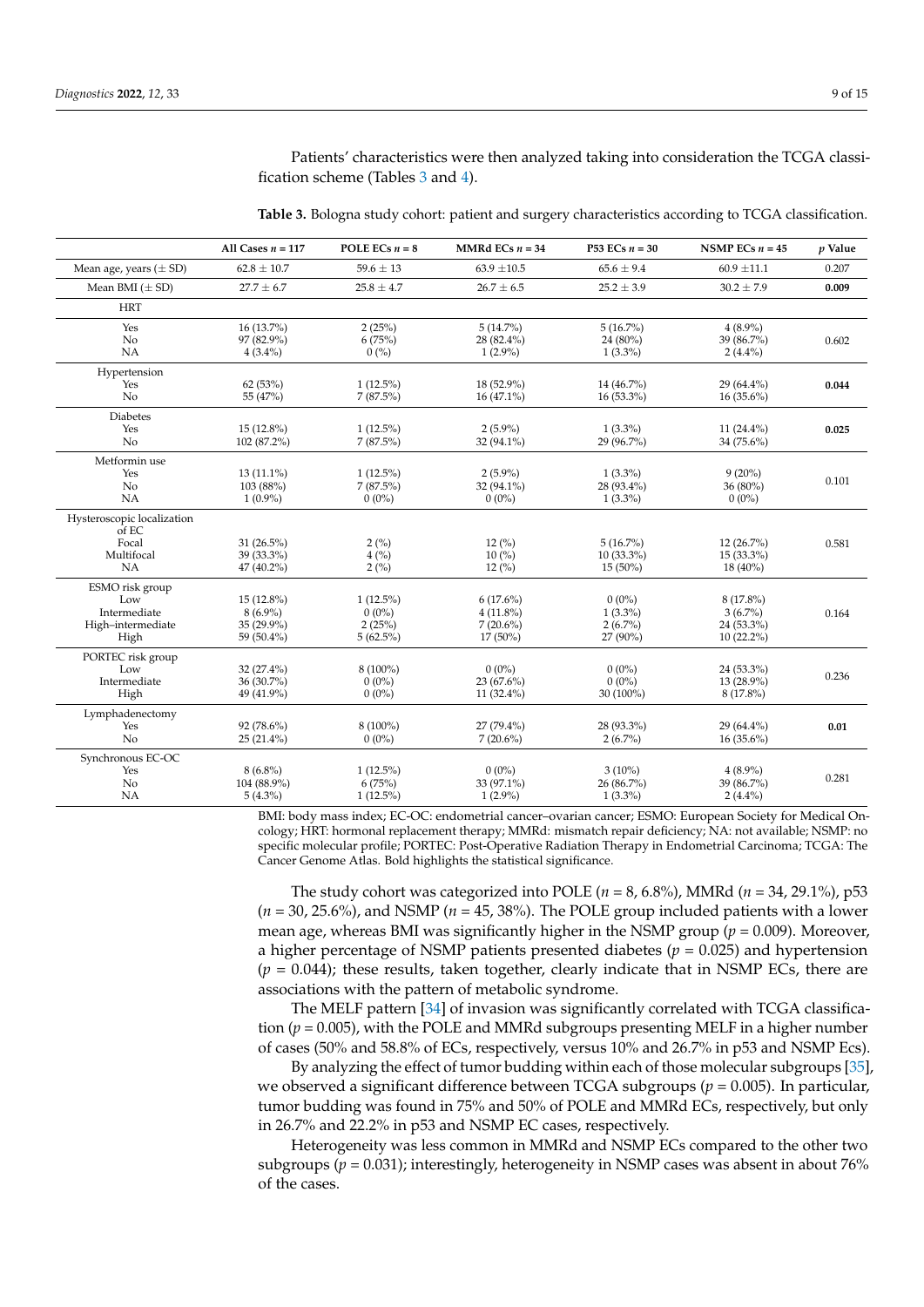Patients' characteristics were then analyzed taking into consideration the TCGA classification scheme (Tables [3](#page-8-0) and [4\)](#page-9-0).

|                                                                     | All Cases $n = 117$                                  | POLE ECs $n = 8$                                 | MMRd ECs $n = 34$                                       | P53 ECs $n = 30$                                 | NSMP ECs $n = 45$                                     | p Value |
|---------------------------------------------------------------------|------------------------------------------------------|--------------------------------------------------|---------------------------------------------------------|--------------------------------------------------|-------------------------------------------------------|---------|
| Mean age, years $(\pm SD)$                                          | $62.8 \pm 10.7$                                      | $59.6 \pm 13$                                    | $63.9 \pm 10.5$                                         | $65.6 \pm 9.4$                                   | $60.9 \pm 11.1$                                       | 0.207   |
| Mean BMI $(\pm SD)$                                                 | $27.7 \pm 6.7$                                       | $25.8 \pm 4.7$                                   | $26.7 \pm 6.5$                                          | $25.2 \pm 3.9$                                   | $30.2 \pm 7.9$                                        | 0.009   |
| <b>HRT</b>                                                          |                                                      |                                                  |                                                         |                                                  |                                                       |         |
| Yes<br>No<br><b>NA</b>                                              | 16 (13.7%)<br>97 (82.9%)<br>$4(3.4\%)$               | 2(25%)<br>6(75%)<br>0(%)                         | $5(14.7\%)$<br>28 (82.4%)<br>$1(2.9\%)$                 | $5(16.7\%)$<br>24 (80%)<br>$1(3.3\%)$            | $4(8.9\%)$<br>39 (86.7%)<br>$2(4.4\%)$                | 0.602   |
| Hypertension<br>Yes<br>No                                           | 62(53%)<br>55 (47%)                                  | $1(12.5\%)$<br>$7(87.5\%)$                       | 18 (52.9%)<br>$16(47.1\%)$                              | 14 (46.7%)<br>$16(53.3\%)$                       | 29 (64.4%)<br>$16(35.6\%)$                            | 0.044   |
| Diabetes<br>Yes<br>No                                               | $15(12.8\%)$<br>102 (87.2%)                          | $1(12.5\%)$<br>$7(87.5\%)$                       | $2(5.9\%)$<br>32 (94.1%)                                | $1(3.3\%)$<br>29 (96.7%)                         | 11 $(24.4\%)$<br>34 (75.6%)                           | 0.025   |
| Metformin use<br>Yes<br>No<br>NA                                    | 13 (11.1%)<br>103 (88%)<br>$1(0.9\%)$                | $1(12.5\%)$<br>$7(87.5\%)$<br>$0(0\%)$           | $2(5.9\%)$<br>32 (94.1%)<br>$0(0\%)$                    | $1(3.3\%)$<br>28 (93.4%)<br>$1(3.3\%)$           | $9(20\%)$<br>36 (80%)<br>$0(0\%)$                     | 0.101   |
| Hysteroscopic localization<br>of EC<br>Focal<br>Multifocal<br>NA    | 31 (26.5%)<br>39 (33.3%)<br>47 (40.2%)               | 2(%)<br>4(%)<br>2(%)                             | $12\,(%)$<br>10(%)<br>12(%)                             | $5(16.7\%)$<br>$10(33.3\%)$<br>$15(50\%)$        | $12(26.7\%)$<br>$15(33.3\%)$<br>18 (40%)              | 0.581   |
| ESMO risk group<br>Low<br>Intermediate<br>High-intermediate<br>High | 15 (12.8%)<br>$8(6.9\%)$<br>35 (29.9%)<br>59 (50.4%) | $1(12.5\%)$<br>$0(0\%)$<br>2(25%)<br>$5(62.5\%)$ | $6(17.6\%)$<br>$4(11.8\%)$<br>$7(20.6\%)$<br>$17(50\%)$ | $0(0\%)$<br>$1(3.3\%)$<br>$2(6.7\%)$<br>27 (90%) | 8 (17.8%)<br>$3(6.7\%)$<br>24 (53.3%)<br>$10(22.2\%)$ | 0.164   |
| PORTEC risk group<br>Low<br>Intermediate<br>High                    | 32 (27.4%)<br>36 (30.7%)<br>49 (41.9%)               | 8 (100%)<br>$0(0\%)$<br>$0(0\%)$                 | $0(0\%)$<br>23 (67.6%)<br>11 $(32.4\%)$                 | $0(0\%)$<br>$0(0\%)$<br>30 (100%)                | 24 (53.3%)<br>13 (28.9%)<br>8 (17.8%)                 | 0.236   |
| Lymphadenectomy<br>Yes<br>No                                        | 92 (78.6%)<br>$25(21.4\%)$                           | 8 (100%)<br>$0(0\%)$                             | 27 (79.4%)<br>$7(20.6\%)$                               | 28 (93.3%)<br>$2(6.7\%)$                         | 29 (64.4%)<br>$16(35.6\%)$                            | 0.01    |
| Synchronous EC-OC<br>Yes<br>No<br><b>NA</b>                         | $8(6.8\%)$<br>104 (88.9%)<br>$5(4.3\%)$              | $1(12.5\%)$<br>6(75%)<br>$1(12.5\%)$             | $0(0\%)$<br>33 (97.1%)<br>$1(2.9\%)$                    | $3(10\%)$<br>26 (86.7%)<br>$1(3.3\%)$            | $4(8.9\%)$<br>39 (86.7%)<br>$2(4.4\%)$                | 0.281   |

<span id="page-8-0"></span>**Table 3.** Bologna study cohort: patient and surgery characteristics according to TCGA classification.

BMI: body mass index; EC-OC: endometrial cancer–ovarian cancer; ESMO: European Society for Medical Oncology; HRT: hormonal replacement therapy; MMRd: mismatch repair deficiency; NA: not available; NSMP: no specific molecular profile; PORTEC: Post-Operative Radiation Therapy in Endometrial Carcinoma; TCGA: The Cancer Genome Atlas. Bold highlights the statistical significance.

The study cohort was categorized into POLE (*n* = 8, 6.8%), MMRd (*n* = 34, 29.1%), p53  $(n = 30, 25.6\%)$ , and NSMP  $(n = 45, 38\%)$ . The POLE group included patients with a lower mean age, whereas BMI was significantly higher in the NSMP group (*p* = 0.009). Moreover, a higher percentage of NSMP patients presented diabetes ( $p = 0.025$ ) and hypertension  $(p = 0.044)$ ; these results, taken together, clearly indicate that in NSMP ECs, there are associations with the pattern of metabolic syndrome.

The MELF pattern [\[34\]](#page-14-11) of invasion was significantly correlated with TCGA classification  $(p = 0.005)$ , with the POLE and MMRd subgroups presenting MELF in a higher number of cases (50% and 58.8% of ECs, respectively, versus 10% and 26.7% in p53 and NSMP Ecs).

By analyzing the effect of tumor budding within each of those molecular subgroups [\[35\]](#page-14-12), we observed a significant difference between TCGA subgroups (*p* = 0.005). In particular, tumor budding was found in 75% and 50% of POLE and MMRd ECs, respectively, but only in 26.7% and 22.2% in p53 and NSMP EC cases, respectively.

Heterogeneity was less common in MMRd and NSMP ECs compared to the other two subgroups ( $p = 0.031$ ); interestingly, heterogeneity in NSMP cases was absent in about 76% of the cases.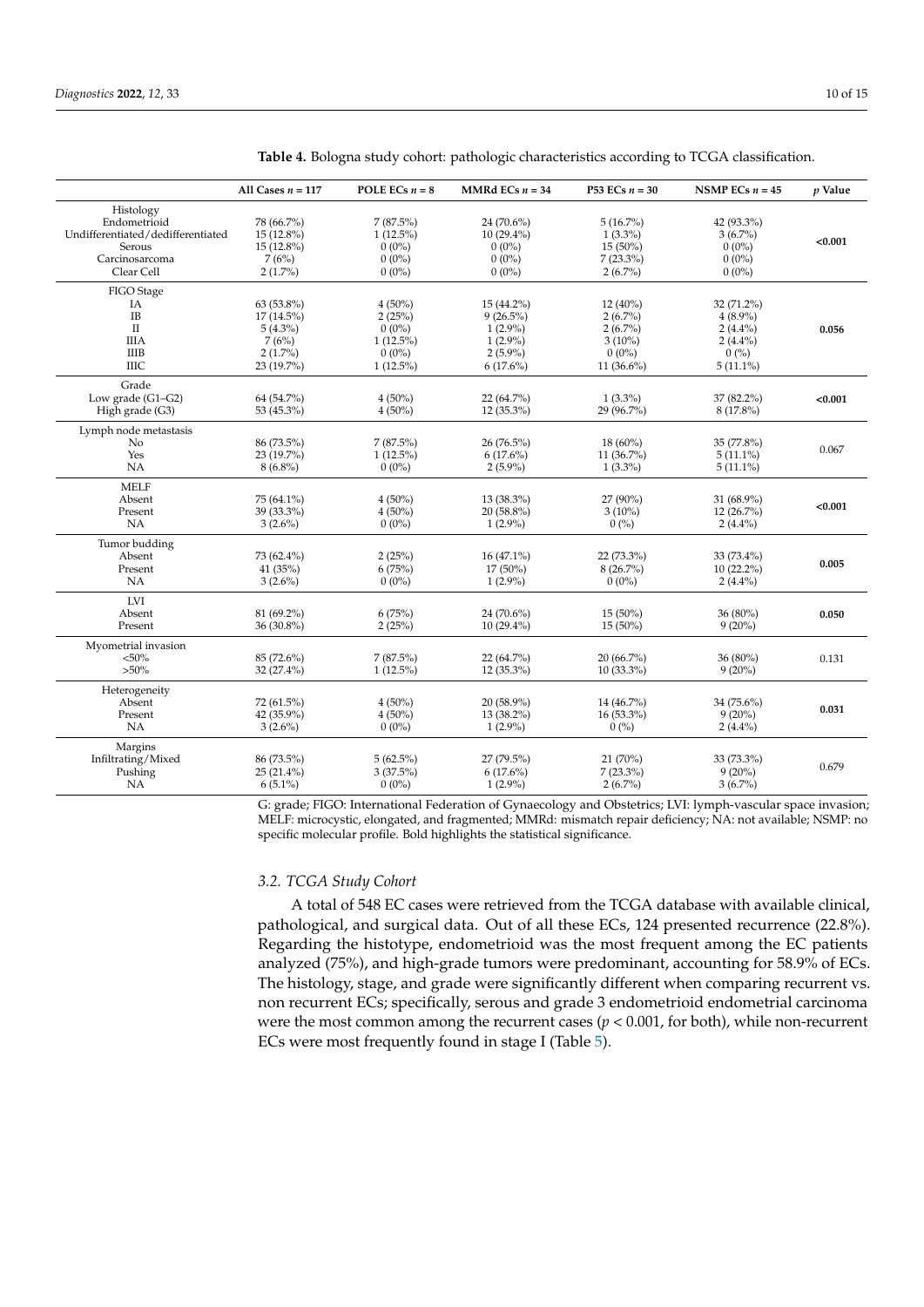|                                                                                                          | All Cases $n = 117$                                                           | POLE ECs $n = 8$                                                          | MMRd ECs $n = 34$                                                                    | <b>P53 ECs</b> $n = 30$                                                          | NSMP ECs $n = 45$                                                           | $p$ Value |
|----------------------------------------------------------------------------------------------------------|-------------------------------------------------------------------------------|---------------------------------------------------------------------------|--------------------------------------------------------------------------------------|----------------------------------------------------------------------------------|-----------------------------------------------------------------------------|-----------|
| Histology<br>Endometrioid<br>Undifferentiated/dedifferentiated<br>Serous<br>Carcinosarcoma<br>Clear Cell | 78 (66.7%)<br>$15(12.8\%)$<br>$15(12.8\%)$<br>7(6%)<br>$2(1.7\%)$             | $7(87.5\%)$<br>$1(12.5\%)$<br>$0(0\%)$<br>$0(0\%)$<br>$0(0\%)$            | 24 (70.6%)<br>$10(29.4\%)$<br>$0(0\%)$<br>$0(0\%)$<br>$0(0\%)$                       | $5(16.7\%)$<br>$1(3.3\%)$<br>$15(50\%)$<br>$7(23.3\%)$<br>$2(6.7\%)$             | 42 (93.3%)<br>$3(6.7\%)$<br>$0(0\%)$<br>$0(0\%)$<br>$0(0\%)$                | < 0.001   |
| FIGO Stage<br>IA<br><b>IB</b><br>$\rm II$<br><b>IIIA</b><br><b>IIIB</b><br>ШC                            | 63 (53.8%)<br>$17(14.5\%)$<br>$5(4.3\%)$<br>7(6%)<br>$2(1.7\%)$<br>23 (19.7%) | $4(50\%)$<br>2(25%)<br>$0(0\%)$<br>$1(12.5\%)$<br>$0(0\%)$<br>$1(12.5\%)$ | $15(44.2\%)$<br>$9(26.5\%)$<br>$1(2.9\%)$<br>$1(2.9\%)$<br>$2(5.9\%)$<br>$6(17.6\%)$ | $12(40\%)$<br>$2(6.7\%)$<br>$2(6.7\%)$<br>$3(10\%)$<br>$0(0\%)$<br>11 $(36.6\%)$ | 32 (71.2%)<br>$4(8.9\%)$<br>$2(4.4\%)$<br>$2(4.4\%)$<br>0(%)<br>$5(11.1\%)$ | 0.056     |
| Grade<br>Low grade (G1-G2)<br>High grade (G3)                                                            | 64 (54.7%)<br>53 (45.3%)                                                      | $4(50\%)$<br>$4(50\%)$                                                    | 22 (64.7%)<br>12 (35.3%)                                                             | $1(3.3\%)$<br>29 (96.7%)                                                         | 37 (82.2%)<br>8 (17.8%)                                                     | < 0.001   |
| Lymph node metastasis<br>No<br>Yes<br>NA                                                                 | 86 (73.5%)<br>23 (19.7%)<br>$8(6.8\%)$                                        | $7(87.5\%)$<br>$1(12.5\%)$<br>$0(0\%)$                                    | 26 (76.5%)<br>$6(17.6\%)$<br>$2(5.9\%)$                                              | $18(60\%)$<br>11 (36.7%)<br>$1(3.3\%)$                                           | 35 (77.8%)<br>$5(11.1\%)$<br>$5(11.1\%)$                                    | 0.067     |
| <b>MELF</b><br>Absent<br>Present<br>NA                                                                   | 75 (64.1%)<br>39 (33.3%)<br>$3(2.6\%)$                                        | $4(50\%)$<br>$4(50\%)$<br>$0(0\%)$                                        | 13 (38.3%)<br>20 (58.8%)<br>$1(2.9\%)$                                               | 27 (90%)<br>$3(10\%)$<br>0(%)                                                    | 31 (68.9%)<br>12(26.7%)<br>$2(4.4\%)$                                       | < 0.001   |
| Tumor budding<br>Absent<br>Present<br>NA                                                                 | 73 (62.4%)<br>41 (35%)<br>$3(2.6\%)$                                          | 2(25%)<br>6(75%)<br>$0(0\%)$                                              | $16(47.1\%)$<br>17 (50%)<br>$1(2.9\%)$                                               | 22 (73.3%)<br>8(26.7%)<br>$0(0\%)$                                               | 33 (73.4%)<br>$10(22.2\%)$<br>$2(4.4\%)$                                    | 0.005     |
| LVI<br>Absent<br>Present                                                                                 | 81 (69.2%)<br>36 (30.8%)                                                      | 6(75%)<br>2(25%)                                                          | 24 (70.6%)<br>$10(29.4\%)$                                                           | $15(50\%)$<br>$15(50\%)$                                                         | 36 (80%)<br>$9(20\%)$                                                       | 0.050     |
| Myometrial invasion<br>$< 50\%$<br>$>50\%$                                                               | 85 (72.6%)<br>32 (27.4%)                                                      | $7(87.5\%)$<br>$1(12.5\%)$                                                | 22 (64.7%)<br>12 (35.3%)                                                             | 20 (66.7%)<br>$10(33.3\%)$                                                       | 36 (80%)<br>$9(20\%)$                                                       | 0.131     |
| Heterogeneity<br>Absent<br>Present<br>NA                                                                 | 72 (61.5%)<br>42 (35.9%)<br>$3(2.6\%)$                                        | $4(50\%)$<br>$4(50\%)$<br>$0(0\%)$                                        | 20 (58.9%)<br>13 (38.2%)<br>$1(2.9\%)$                                               | 14 (46.7%)<br>16 (53.3%)<br>0(%)                                                 | 34 (75.6%)<br>$9(20\%)$<br>$2(4.4\%)$                                       | 0.031     |
| Margins<br>Infiltrating/Mixed<br>Pushing<br>NA                                                           | 86 (73.5%)<br>$25(21.4\%)$<br>$6(5.1\%)$                                      | 5(62.5%)<br>3(37.5%)<br>$0(0\%)$                                          | 27 (79.5%)<br>$6(17.6\%)$<br>$1(2.9\%)$                                              | 21(70%)<br>$7(23.3\%)$<br>$2(6.7\%)$                                             | 33 (73.3%)<br>$9(20\%)$<br>$3(6.7\%)$                                       | 0.679     |

<span id="page-9-0"></span>**Table 4.** Bologna study cohort: pathologic characteristics according to TCGA classification.

G: grade; FIGO: International Federation of Gynaecology and Obstetrics; LVI: lymph-vascular space invasion; MELF: microcystic, elongated, and fragmented; MMRd: mismatch repair deficiency; NA: not available; NSMP: no specific molecular profile. Bold highlights the statistical significance.

## *3.2. TCGA Study Cohort*

A total of 548 EC cases were retrieved from the TCGA database with available clinical, pathological, and surgical data. Out of all these ECs, 124 presented recurrence (22.8%). Regarding the histotype, endometrioid was the most frequent among the EC patients analyzed (75%), and high-grade tumors were predominant, accounting for 58.9% of ECs. The histology, stage, and grade were significantly different when comparing recurrent vs. non recurrent ECs; specifically, serous and grade 3 endometrioid endometrial carcinoma were the most common among the recurrent cases ( $p < 0.001$ , for both), while non-recurrent ECs were most frequently found in stage I (Table [5\)](#page-10-0).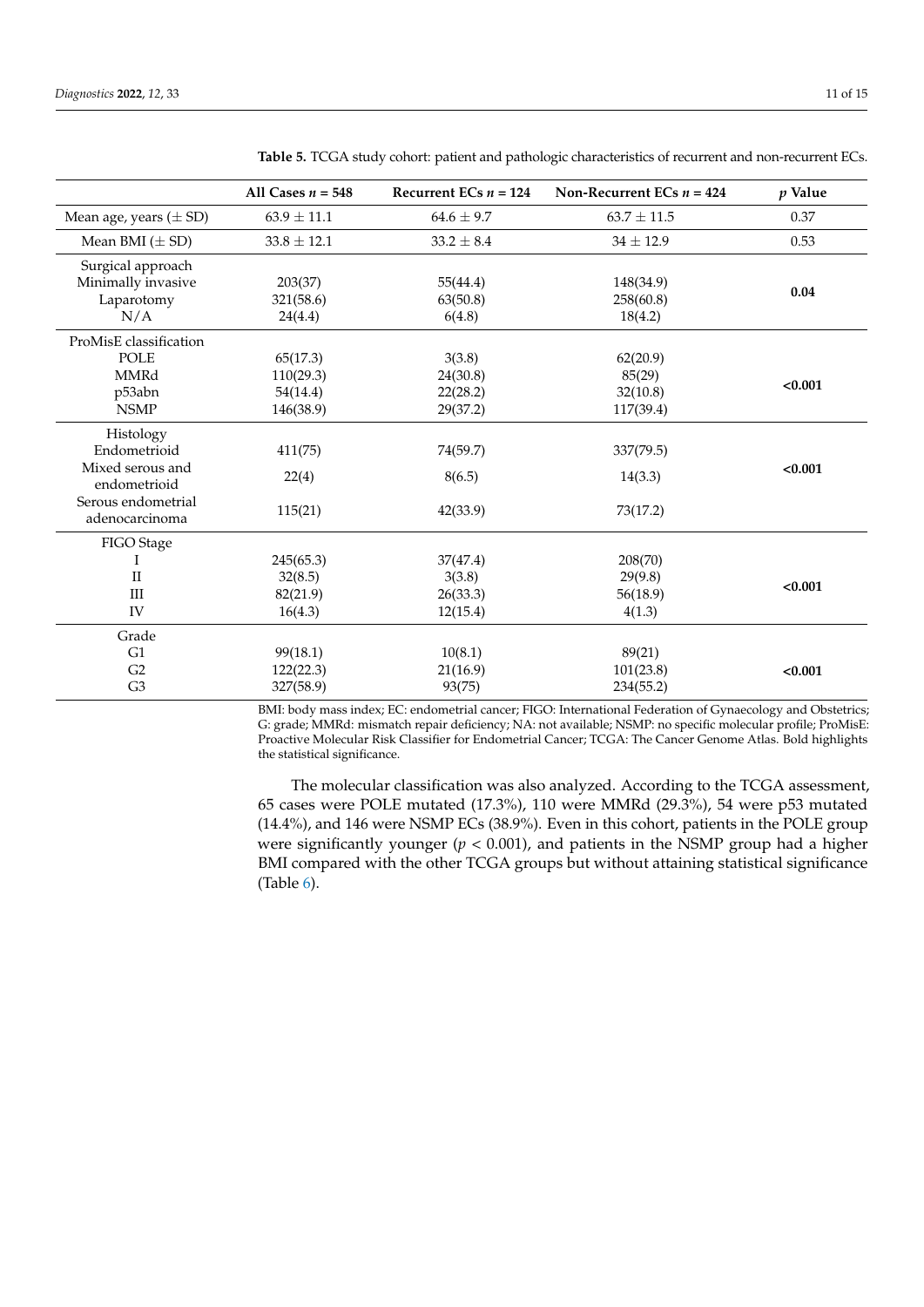|                            | All Cases $n = 548$ | Recurrent ECs $n = 124$ | Non-Recurrent ECs $n = 424$ | $p$ Value |
|----------------------------|---------------------|-------------------------|-----------------------------|-----------|
| Mean age, years $(\pm SD)$ | $63.9 \pm 11.1$     | $64.6 \pm 9.7$          | $63.7 \pm 11.5$             | 0.37      |
| Mean BMI $(\pm SD)$        | $33.8 \pm 12.1$     | $33.2 \pm 8.4$          | $34 \pm 12.9$               | 0.53      |
| Surgical approach          |                     |                         |                             |           |
| Minimally invasive         | 203(37)             | 55(44.4)                | 148(34.9)                   | 0.04      |
| Laparotomy                 | 321(58.6)           | 63(50.8)                | 258(60.8)                   |           |
| N/A                        | 24(4.4)             | 6(4.8)                  | 18(4.2)                     |           |
| ProMisE classification     |                     |                         |                             |           |
| <b>POLE</b>                | 65(17.3)            | 3(3.8)                  | 62(20.9)                    |           |
| MMRd                       | 110(29.3)           | 24(30.8)                | 85(29)                      |           |
| p53abn                     | 54(14.4)            | 22(28.2)                | 32(10.8)                    | < 0.001   |
| <b>NSMP</b>                | 146(38.9)           | 29(37.2)                | 117(39.4)                   |           |
| Histology                  |                     |                         |                             |           |
| Endometrioid               | 411(75)             | 74(59.7)                | 337(79.5)                   |           |
| Mixed serous and           |                     |                         |                             | < 0.001   |
| endometrioid               | 22(4)               | 8(6.5)                  | 14(3.3)                     |           |
| Serous endometrial         |                     |                         |                             |           |
| adenocarcinoma             | 115(21)             | 42(33.9)                | 73(17.2)                    |           |
| FIGO Stage                 |                     |                         |                             |           |
|                            | 245(65.3)           | 37(47.4)                | 208(70)                     |           |
| $\mathbf{I}$               | 32(8.5)             | 3(3.8)                  | 29(9.8)                     |           |
| Ш                          | 82(21.9)            | 26(33.3)                | 56(18.9)                    | < 0.001   |
| IV                         | 16(4.3)             | 12(15.4)                | 4(1.3)                      |           |
| Grade                      |                     |                         |                             |           |
| G1                         | 99(18.1)            | 10(8.1)                 | 89(21)                      |           |
| G2                         | 122(22.3)           | 21(16.9)                | 101(23.8)                   | < 0.001   |
| G <sub>3</sub>             | 327(58.9)           | 93(75)                  | 234(55.2)                   |           |

<span id="page-10-0"></span>**Table 5.** TCGA study cohort: patient and pathologic characteristics of recurrent and non-recurrent ECs.

BMI: body mass index; EC: endometrial cancer; FIGO: International Federation of Gynaecology and Obstetrics; G: grade; MMRd: mismatch repair deficiency; NA: not available; NSMP: no specific molecular profile; ProMisE: Proactive Molecular Risk Classifier for Endometrial Cancer; TCGA: The Cancer Genome Atlas. Bold highlights the statistical significance.

The molecular classification was also analyzed. According to the TCGA assessment, 65 cases were POLE mutated (17.3%), 110 were MMRd (29.3%), 54 were p53 mutated (14.4%), and 146 were NSMP ECs (38.9%). Even in this cohort, patients in the POLE group were significantly younger  $(p < 0.001)$ , and patients in the NSMP group had a higher BMI compared with the other TCGA groups but without attaining statistical significance (Table [6\)](#page-11-0).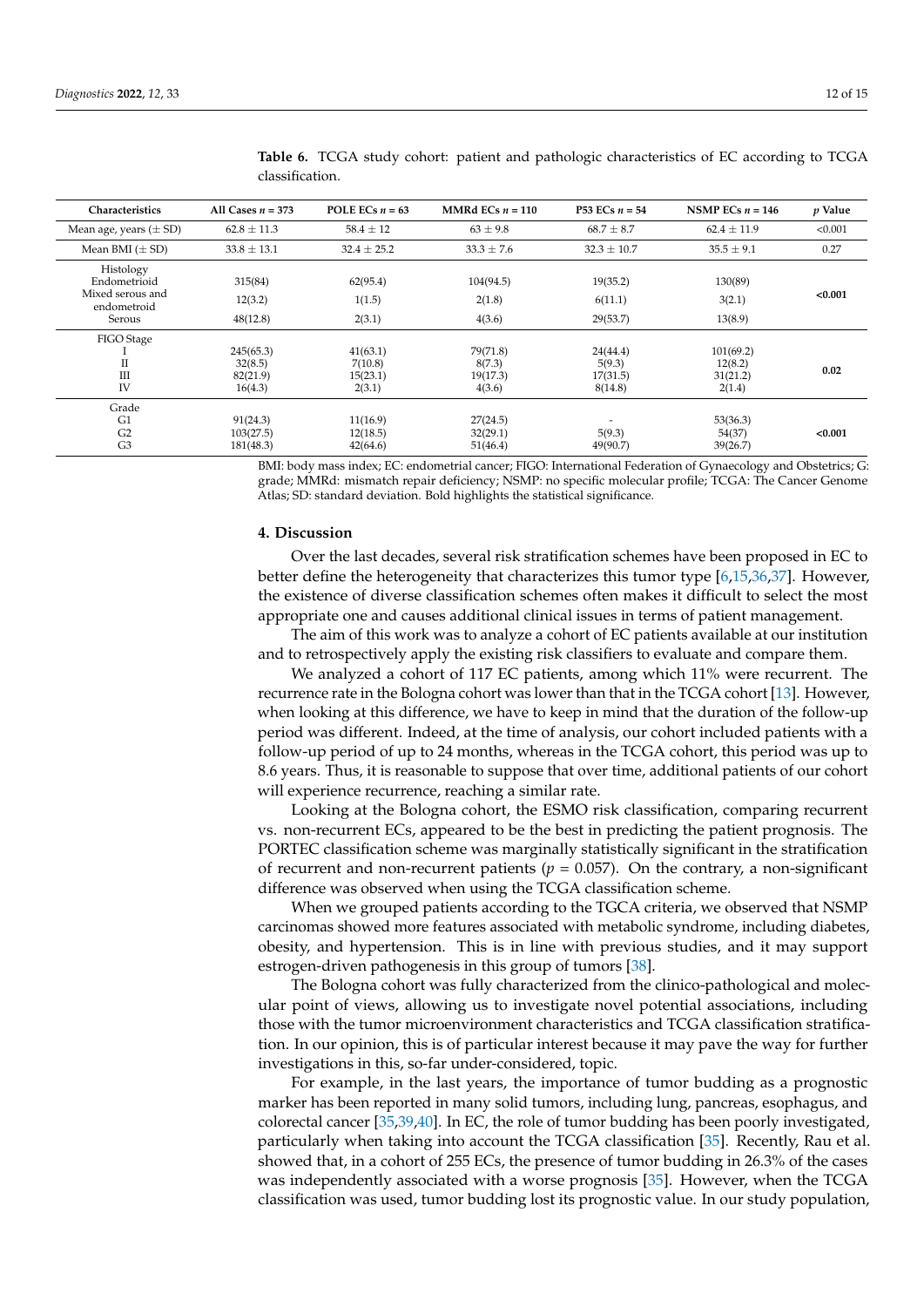| Characteristics                                                        | All Cases $n = 373$                         | POLE ECs $n = 63$                         | MMRd ECs $n = 110$                       | <b>P53</b> ECs $n = 54$                   | NSMP ECs $n = 146$                         | p Value |
|------------------------------------------------------------------------|---------------------------------------------|-------------------------------------------|------------------------------------------|-------------------------------------------|--------------------------------------------|---------|
| Mean age, years $(\pm SD)$                                             | $62.8 \pm 11.3$                             | $58.4 \pm 12$                             | $63 \pm 9.8$                             | $68.7 \pm 8.7$                            | $62.4 \pm 11.9$                            | < 0.001 |
| Mean BMI $(\pm SD)$                                                    | $33.8 \pm 13.1$                             | $32.4 \pm 25.2$                           | $33.3 \pm 7.6$                           | $32.3 \pm 10.7$                           | $35.5 \pm 9.1$                             | 0.27    |
| Histology<br>Endometrioid<br>Mixed serous and<br>endometroid<br>Serous | 315(84)<br>12(3.2)<br>48(12.8)              | 62(95.4)<br>1(1.5)<br>2(3.1)              | 104(94.5)<br>2(1.8)<br>4(3.6)            | 19(35.2)<br>6(11.1)<br>29(53.7)           | 130(89)<br>3(2.1)<br>13(8.9)               | < 0.001 |
| FIGO Stage<br>П<br>III<br>IV                                           | 245(65.3)<br>32(8.5)<br>82(21.9)<br>16(4.3) | 41(63.1)<br>7(10.8)<br>15(23.1)<br>2(3.1) | 79(71.8)<br>8(7.3)<br>19(17.3)<br>4(3.6) | 24(44.4)<br>5(9.3)<br>17(31.5)<br>8(14.8) | 101(69.2)<br>12(8.2)<br>31(21.2)<br>2(1.4) | 0.02    |
| Grade<br>G1<br>G <sub>2</sub><br>G <sub>3</sub>                        | 91(24.3)<br>103(27.5)<br>181(48.3)          | 11(16.9)<br>12(18.5)<br>42(64.6)          | 27(24.5)<br>32(29.1)<br>51(46.4)         | 5(9.3)<br>49(90.7)                        | 53(36.3)<br>54(37)<br>39(26.7)             | < 0.001 |

<span id="page-11-0"></span>**Table 6.** TCGA study cohort: patient and pathologic characteristics of EC according to TCGA classification.

BMI: body mass index; EC: endometrial cancer; FIGO: International Federation of Gynaecology and Obstetrics; G: grade; MMRd: mismatch repair deficiency; NSMP: no specific molecular profile; TCGA: The Cancer Genome Atlas; SD: standard deviation. Bold highlights the statistical significance.

#### **4. Discussion**

Over the last decades, several risk stratification schemes have been proposed in EC to better define the heterogeneity that characterizes this tumor type [\[6,](#page-13-4)[15,](#page-13-17)[36,](#page-14-13)[37\]](#page-14-14). However, the existence of diverse classification schemes often makes it difficult to select the most appropriate one and causes additional clinical issues in terms of patient management.

The aim of this work was to analyze a cohort of EC patients available at our institution and to retrospectively apply the existing risk classifiers to evaluate and compare them.

We analyzed a cohort of 117 EC patients, among which 11% were recurrent. The recurrence rate in the Bologna cohort was lower than that in the TCGA cohort [\[13\]](#page-13-11). However, when looking at this difference, we have to keep in mind that the duration of the follow-up period was different. Indeed, at the time of analysis, our cohort included patients with a follow-up period of up to 24 months, whereas in the TCGA cohort, this period was up to 8.6 years. Thus, it is reasonable to suppose that over time, additional patients of our cohort will experience recurrence, reaching a similar rate.

Looking at the Bologna cohort, the ESMO risk classification, comparing recurrent vs. non-recurrent ECs, appeared to be the best in predicting the patient prognosis. The PORTEC classification scheme was marginally statistically significant in the stratification of recurrent and non-recurrent patients ( $p = 0.057$ ). On the contrary, a non-significant difference was observed when using the TCGA classification scheme.

When we grouped patients according to the TGCA criteria, we observed that NSMP carcinomas showed more features associated with metabolic syndrome, including diabetes, obesity, and hypertension. This is in line with previous studies, and it may support estrogen-driven pathogenesis in this group of tumors [\[38\]](#page-14-15).

The Bologna cohort was fully characterized from the clinico-pathological and molecular point of views, allowing us to investigate novel potential associations, including those with the tumor microenvironment characteristics and TCGA classification stratification. In our opinion, this is of particular interest because it may pave the way for further investigations in this, so-far under-considered, topic.

For example, in the last years, the importance of tumor budding as a prognostic marker has been reported in many solid tumors, including lung, pancreas, esophagus, and colorectal cancer [\[35,](#page-14-12)[39,](#page-14-16)[40\]](#page-14-17). In EC, the role of tumor budding has been poorly investigated, particularly when taking into account the TCGA classification [\[35\]](#page-14-12). Recently, Rau et al. showed that, in a cohort of 255 ECs, the presence of tumor budding in 26.3% of the cases was independently associated with a worse prognosis [\[35\]](#page-14-12). However, when the TCGA classification was used, tumor budding lost its prognostic value. In our study population,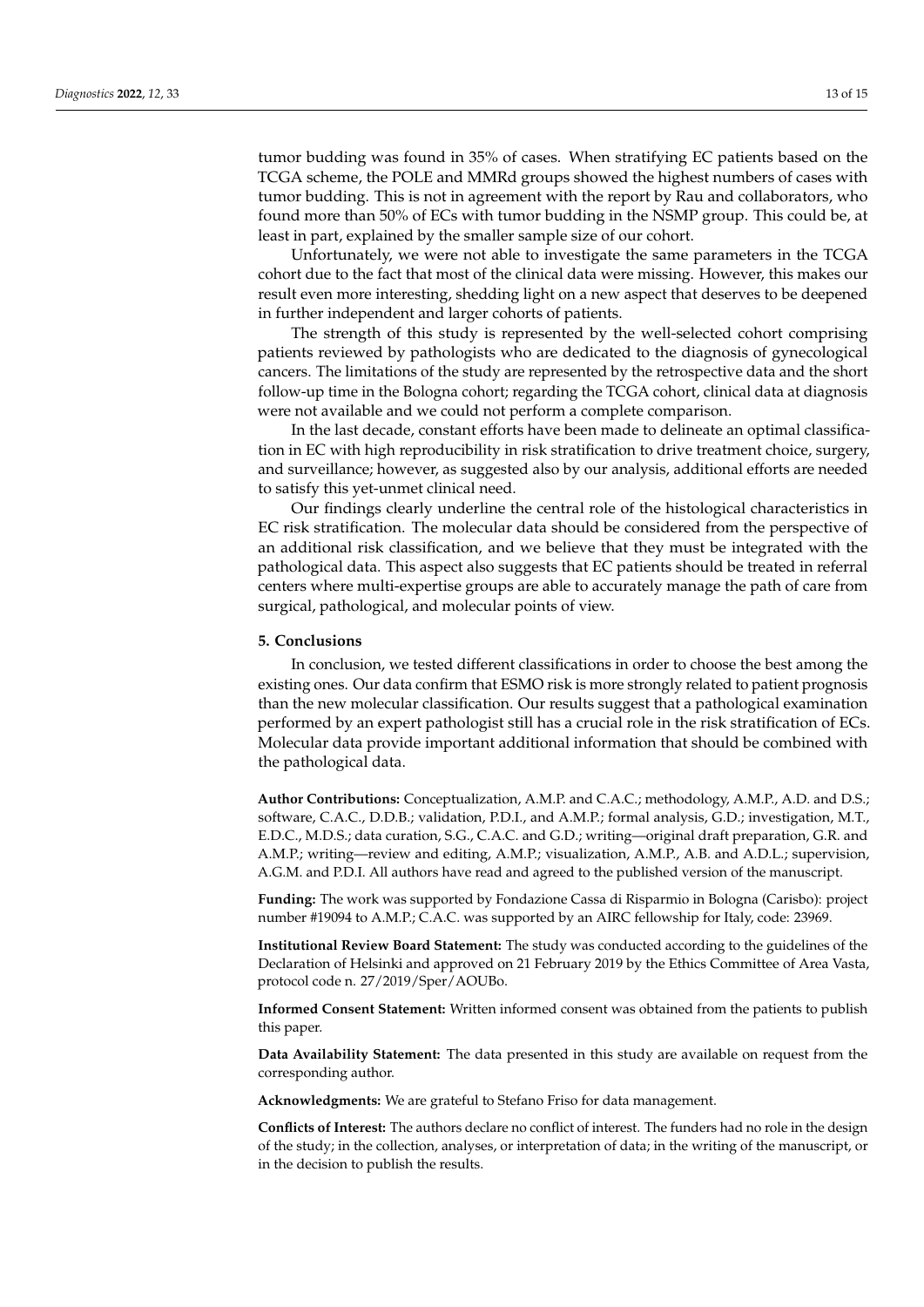tumor budding was found in 35% of cases. When stratifying EC patients based on the TCGA scheme, the POLE and MMRd groups showed the highest numbers of cases with tumor budding. This is not in agreement with the report by Rau and collaborators, who found more than 50% of ECs with tumor budding in the NSMP group. This could be, at least in part, explained by the smaller sample size of our cohort.

Unfortunately, we were not able to investigate the same parameters in the TCGA cohort due to the fact that most of the clinical data were missing. However, this makes our result even more interesting, shedding light on a new aspect that deserves to be deepened in further independent and larger cohorts of patients.

The strength of this study is represented by the well-selected cohort comprising patients reviewed by pathologists who are dedicated to the diagnosis of gynecological cancers. The limitations of the study are represented by the retrospective data and the short follow-up time in the Bologna cohort; regarding the TCGA cohort, clinical data at diagnosis were not available and we could not perform a complete comparison.

In the last decade, constant efforts have been made to delineate an optimal classification in EC with high reproducibility in risk stratification to drive treatment choice, surgery, and surveillance; however, as suggested also by our analysis, additional efforts are needed to satisfy this yet-unmet clinical need.

Our findings clearly underline the central role of the histological characteristics in EC risk stratification. The molecular data should be considered from the perspective of an additional risk classification, and we believe that they must be integrated with the pathological data. This aspect also suggests that EC patients should be treated in referral centers where multi-expertise groups are able to accurately manage the path of care from surgical, pathological, and molecular points of view.

### **5. Conclusions**

In conclusion, we tested different classifications in order to choose the best among the existing ones. Our data confirm that ESMO risk is more strongly related to patient prognosis than the new molecular classification. Our results suggest that a pathological examination performed by an expert pathologist still has a crucial role in the risk stratification of ECs. Molecular data provide important additional information that should be combined with the pathological data.

**Author Contributions:** Conceptualization, A.M.P. and C.A.C.; methodology, A.M.P., A.D. and D.S.; software, C.A.C., D.D.B.; validation, P.D.I., and A.M.P.; formal analysis, G.D.; investigation, M.T., E.D.C., M.D.S.; data curation, S.G., C.A.C. and G.D.; writing—original draft preparation, G.R. and A.M.P.; writing—review and editing, A.M.P.; visualization, A.M.P., A.B. and A.D.L.; supervision, A.G.M. and P.D.I. All authors have read and agreed to the published version of the manuscript.

**Funding:** The work was supported by Fondazione Cassa di Risparmio in Bologna (Carisbo): project number #19094 to A.M.P.; C.A.C. was supported by an AIRC fellowship for Italy, code: 23969.

**Institutional Review Board Statement:** The study was conducted according to the guidelines of the Declaration of Helsinki and approved on 21 February 2019 by the Ethics Committee of Area Vasta, protocol code n. 27/2019/Sper/AOUBo.

**Informed Consent Statement:** Written informed consent was obtained from the patients to publish this paper.

**Data Availability Statement:** The data presented in this study are available on request from the corresponding author.

**Acknowledgments:** We are grateful to Stefano Friso for data management.

**Conflicts of Interest:** The authors declare no conflict of interest. The funders had no role in the design of the study; in the collection, analyses, or interpretation of data; in the writing of the manuscript, or in the decision to publish the results.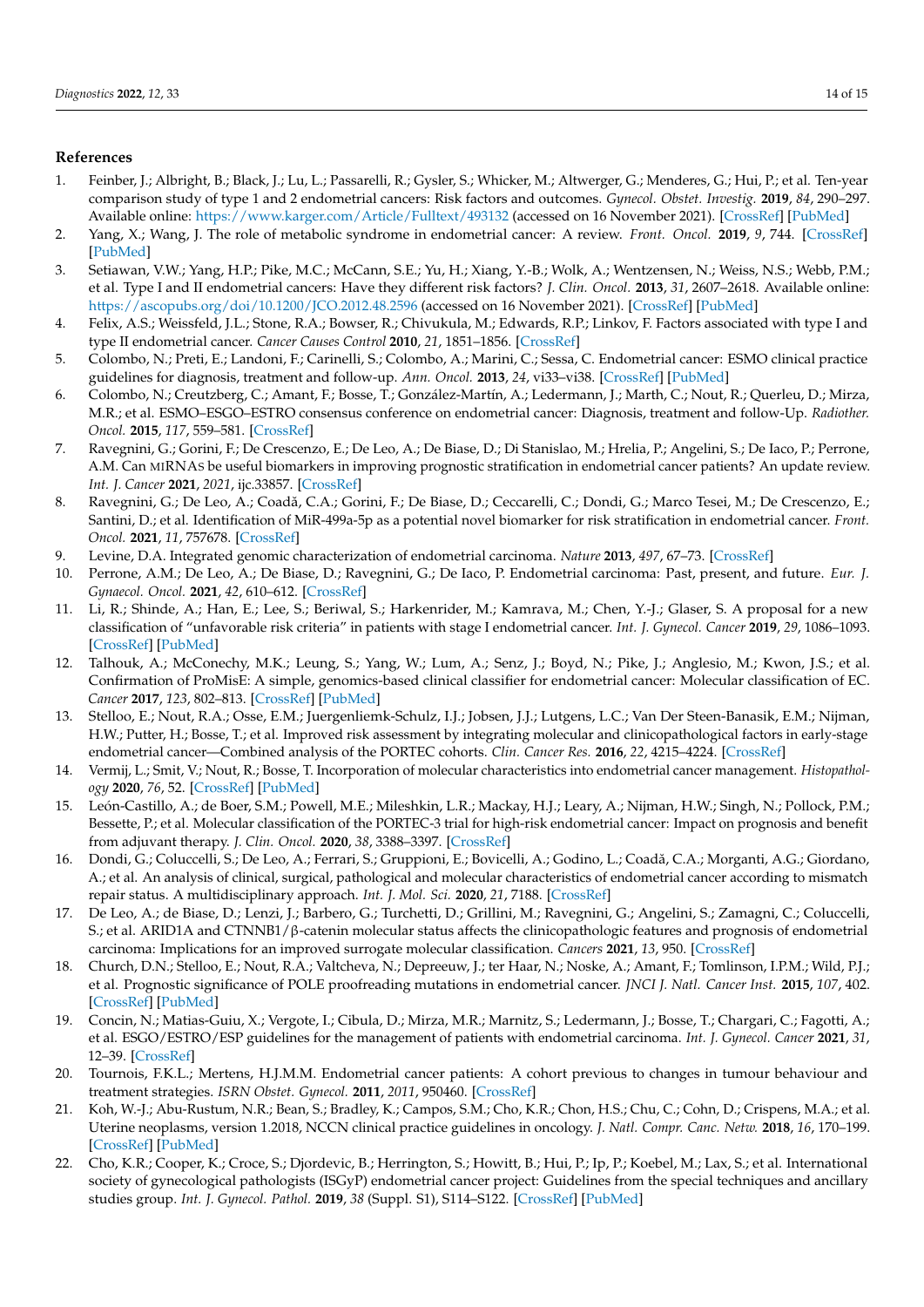## **References**

- <span id="page-13-0"></span>1. Feinber, J.; Albright, B.; Black, J.; Lu, L.; Passarelli, R.; Gysler, S.; Whicker, M.; Altwerger, G.; Menderes, G.; Hui, P.; et al. Ten-year comparison study of type 1 and 2 endometrial cancers: Risk factors and outcomes. *Gynecol. Obstet. Investig.* **2019**, *84*, 290–297. Available online: <https://www.karger.com/Article/Fulltext/493132> (accessed on 16 November 2021). [\[CrossRef\]](http://doi.org/10.1159/000493132) [\[PubMed\]](http://www.ncbi.nlm.nih.gov/pubmed/30602164)
- 2. Yang, X.; Wang, J. The role of metabolic syndrome in endometrial cancer: A review. *Front. Oncol.* **2019**, *9*, 744. [\[CrossRef\]](http://doi.org/10.3389/fonc.2019.00744) [\[PubMed\]](http://www.ncbi.nlm.nih.gov/pubmed/31440472)
- <span id="page-13-1"></span>3. Setiawan, V.W.; Yang, H.P.; Pike, M.C.; McCann, S.E.; Yu, H.; Xiang, Y.-B.; Wolk, A.; Wentzensen, N.; Weiss, N.S.; Webb, P.M.; et al. Type I and II endometrial cancers: Have they different risk factors? *J. Clin. Oncol.* **2013**, *31*, 2607–2618. Available online: <https://ascopubs.org/doi/10.1200/JCO.2012.48.2596> (accessed on 16 November 2021). [\[CrossRef\]](http://doi.org/10.1200/JCO.2012.48.2596) [\[PubMed\]](http://www.ncbi.nlm.nih.gov/pubmed/23733771)
- <span id="page-13-2"></span>4. Felix, A.S.; Weissfeld, J.L.; Stone, R.A.; Bowser, R.; Chivukula, M.; Edwards, R.P.; Linkov, F. Factors associated with type I and type II endometrial cancer. *Cancer Causes Control* **2010**, *21*, 1851–1856. [\[CrossRef\]](http://doi.org/10.1007/s10552-010-9612-8)
- <span id="page-13-3"></span>5. Colombo, N.; Preti, E.; Landoni, F.; Carinelli, S.; Colombo, A.; Marini, C.; Sessa, C. Endometrial cancer: ESMO clinical practice guidelines for diagnosis, treatment and follow-up. *Ann. Oncol.* **2013**, *24*, vi33–vi38. [\[CrossRef\]](http://doi.org/10.1093/annonc/mdt353) [\[PubMed\]](http://www.ncbi.nlm.nih.gov/pubmed/24078661)
- <span id="page-13-4"></span>6. Colombo, N.; Creutzberg, C.; Amant, F.; Bosse, T.; González-Martín, A.; Ledermann, J.; Marth, C.; Nout, R.; Querleu, D.; Mirza, M.R.; et al. ESMO–ESGO–ESTRO consensus conference on endometrial cancer: Diagnosis, treatment and follow-Up. *Radiother. Oncol.* **2015**, *117*, 559–581. [\[CrossRef\]](http://doi.org/10.1016/j.radonc.2015.11.013)
- <span id="page-13-5"></span>7. Ravegnini, G.; Gorini, F.; De Crescenzo, E.; De Leo, A.; De Biase, D.; Di Stanislao, M.; Hrelia, P.; Angelini, S.; De Iaco, P.; Perrone, A.M. Can MIRNAS be useful biomarkers in improving prognostic stratification in endometrial cancer patients? An update review. *Int. J. Cancer* **2021**, *2021*, ijc.33857. [\[CrossRef\]](http://doi.org/10.1002/ijc.33857)
- <span id="page-13-6"></span>8. Ravegnini, G.; De Leo, A.; Coadă, C.A.; Gorini, F.; De Biase, D.; Ceccarelli, C.; Dondi, G.; Marco Tesei, M.; De Crescenzo, E.; Santini, D.; et al. Identification of MiR-499a-5p as a potential novel biomarker for risk stratification in endometrial cancer. *Front. Oncol.* **2021**, *11*, 757678. [\[CrossRef\]](http://doi.org/10.3389/fonc.2021.757678)
- <span id="page-13-7"></span>9. Levine, D.A. Integrated genomic characterization of endometrial carcinoma. *Nature* **2013**, *497*, 67–73. [\[CrossRef\]](http://doi.org/10.1038/nature12113)
- <span id="page-13-8"></span>10. Perrone, A.M.; De Leo, A.; De Biase, D.; Ravegnini, G.; De Iaco, P. Endometrial carcinoma: Past, present, and future. *Eur. J. Gynaecol. Oncol.* **2021**, *42*, 610–612. [\[CrossRef\]](http://doi.org/10.31083/j.ejgo4204094)
- <span id="page-13-9"></span>11. Li, R.; Shinde, A.; Han, E.; Lee, S.; Beriwal, S.; Harkenrider, M.; Kamrava, M.; Chen, Y.-J.; Glaser, S. A proposal for a new classification of "unfavorable risk criteria" in patients with stage I endometrial cancer. *Int. J. Gynecol. Cancer* **2019**, *29*, 1086–1093. [\[CrossRef\]](http://doi.org/10.1136/ijgc-2019-000264) [\[PubMed\]](http://www.ncbi.nlm.nih.gov/pubmed/31474587)
- <span id="page-13-10"></span>12. Talhouk, A.; McConechy, M.K.; Leung, S.; Yang, W.; Lum, A.; Senz, J.; Boyd, N.; Pike, J.; Anglesio, M.; Kwon, J.S.; et al. Confirmation of ProMisE: A simple, genomics-based clinical classifier for endometrial cancer: Molecular classification of EC. *Cancer* **2017**, *123*, 802–813. [\[CrossRef\]](http://doi.org/10.1002/cncr.30496) [\[PubMed\]](http://www.ncbi.nlm.nih.gov/pubmed/28061006)
- <span id="page-13-11"></span>13. Stelloo, E.; Nout, R.A.; Osse, E.M.; Juergenliemk-Schulz, I.J.; Jobsen, J.J.; Lutgens, L.C.; Van Der Steen-Banasik, E.M.; Nijman, H.W.; Putter, H.; Bosse, T.; et al. Improved risk assessment by integrating molecular and clinicopathological factors in early-stage endometrial cancer—Combined analysis of the PORTEC cohorts. *Clin. Cancer Res.* **2016**, *22*, 4215–4224. [\[CrossRef\]](http://doi.org/10.1158/1078-0432.CCR-15-2878)
- 14. Vermij, L.; Smit, V.; Nout, R.; Bosse, T. Incorporation of molecular characteristics into endometrial cancer management. *Histopathology* **2020**, *76*, 52. [\[CrossRef\]](http://doi.org/10.1111/his.14015) [\[PubMed\]](http://www.ncbi.nlm.nih.gov/pubmed/31846532)
- <span id="page-13-17"></span>15. León-Castillo, A.; de Boer, S.M.; Powell, M.E.; Mileshkin, L.R.; Mackay, H.J.; Leary, A.; Nijman, H.W.; Singh, N.; Pollock, P.M.; Bessette, P.; et al. Molecular classification of the PORTEC-3 trial for high-risk endometrial cancer: Impact on prognosis and benefit from adjuvant therapy. *J. Clin. Oncol.* **2020**, *38*, 3388–3397. [\[CrossRef\]](http://doi.org/10.1200/JCO.20.00549)
- 16. Dondi, G.; Coluccelli, S.; De Leo, A.; Ferrari, S.; Gruppioni, E.; Bovicelli, A.; Godino, L.; Coadă, C.A.; Morganti, A.G.; Giordano, A.; et al. An analysis of clinical, surgical, pathological and molecular characteristics of endometrial cancer according to mismatch repair status. A multidisciplinary approach. *Int. J. Mol. Sci.* **2020**, *21*, 7188. [\[CrossRef\]](http://doi.org/10.3390/ijms21197188)
- 17. De Leo, A.; de Biase, D.; Lenzi, J.; Barbero, G.; Turchetti, D.; Grillini, M.; Ravegnini, G.; Angelini, S.; Zamagni, C.; Coluccelli, S.; et al. ARID1A and CTNNB1/β-catenin molecular status affects the clinicopathologic features and prognosis of endometrial carcinoma: Implications for an improved surrogate molecular classification. *Cancers* **2021**, *13*, 950. [\[CrossRef\]](http://doi.org/10.3390/cancers13050950)
- <span id="page-13-12"></span>18. Church, D.N.; Stelloo, E.; Nout, R.A.; Valtcheva, N.; Depreeuw, J.; ter Haar, N.; Noske, A.; Amant, F.; Tomlinson, I.P.M.; Wild, P.J.; et al. Prognostic significance of POLE proofreading mutations in endometrial cancer. *JNCI J. Natl. Cancer Inst.* **2015**, *107*, 402. [\[CrossRef\]](http://doi.org/10.1093/jnci/dju402) [\[PubMed\]](http://www.ncbi.nlm.nih.gov/pubmed/25505230)
- <span id="page-13-13"></span>19. Concin, N.; Matias-Guiu, X.; Vergote, I.; Cibula, D.; Mirza, M.R.; Marnitz, S.; Ledermann, J.; Bosse, T.; Chargari, C.; Fagotti, A.; et al. ESGO/ESTRO/ESP guidelines for the management of patients with endometrial carcinoma. *Int. J. Gynecol. Cancer* **2021**, *31*, 12–39. [\[CrossRef\]](http://doi.org/10.1136/ijgc-2020-002230)
- <span id="page-13-14"></span>20. Tournois, F.K.L.; Mertens, H.J.M.M. Endometrial cancer patients: A cohort previous to changes in tumour behaviour and treatment strategies. *ISRN Obstet. Gynecol.* **2011**, *2011*, 950460. [\[CrossRef\]](http://doi.org/10.5402/2011/950460)
- <span id="page-13-15"></span>21. Koh, W.-J.; Abu-Rustum, N.R.; Bean, S.; Bradley, K.; Campos, S.M.; Cho, K.R.; Chon, H.S.; Chu, C.; Cohn, D.; Crispens, M.A.; et al. Uterine neoplasms, version 1.2018, NCCN clinical practice guidelines in oncology. *J. Natl. Compr. Canc. Netw.* **2018**, *16*, 170–199. [\[CrossRef\]](http://doi.org/10.6004/jnccn.2018.0006) [\[PubMed\]](http://www.ncbi.nlm.nih.gov/pubmed/29439178)
- <span id="page-13-16"></span>22. Cho, K.R.; Cooper, K.; Croce, S.; Djordevic, B.; Herrington, S.; Howitt, B.; Hui, P.; Ip, P.; Koebel, M.; Lax, S.; et al. International society of gynecological pathologists (ISGyP) endometrial cancer project: Guidelines from the special techniques and ancillary studies group. *Int. J. Gynecol. Pathol.* **2019**, *38* (Suppl. S1), S114–S122. [\[CrossRef\]](http://doi.org/10.1097/PGP.0000000000000496) [\[PubMed\]](http://www.ncbi.nlm.nih.gov/pubmed/29521846)